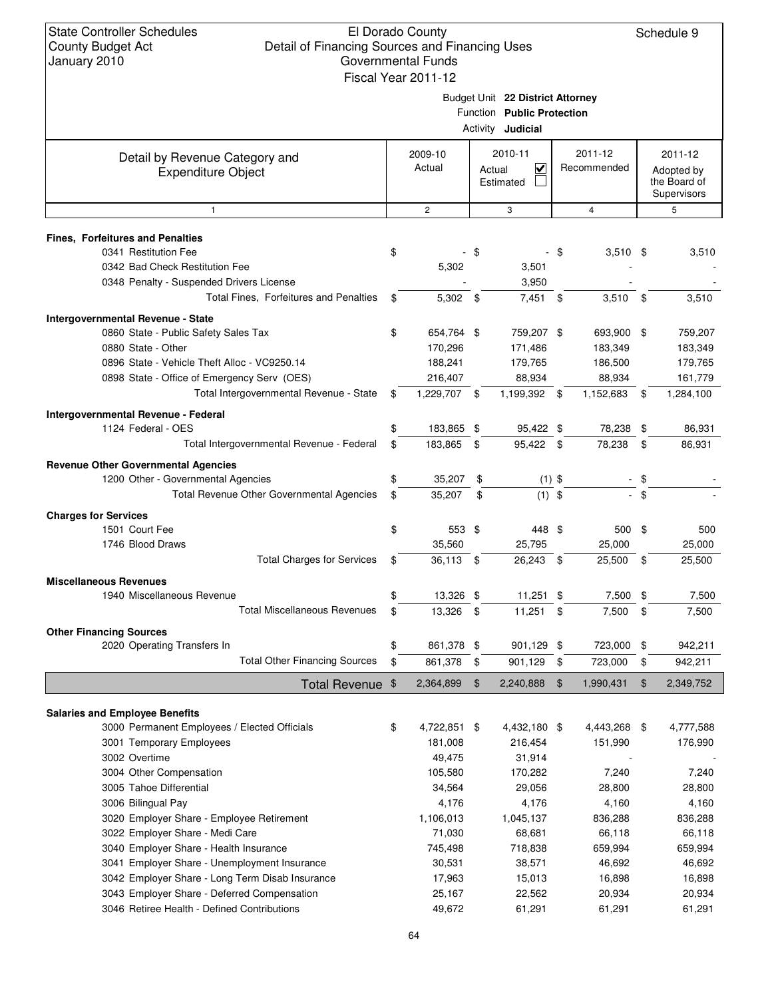|                                                             | Fiscal Year 2011-12 |        |                                                                                            |      |                        |      |                                                      |
|-------------------------------------------------------------|---------------------|--------|--------------------------------------------------------------------------------------------|------|------------------------|------|------------------------------------------------------|
|                                                             |                     |        | Budget Unit 22 District Attorney<br>Function Public Protection<br>Activity <b>Judicial</b> |      |                        |      |                                                      |
| Detail by Revenue Category and<br><b>Expenditure Object</b> | 2009-10<br>Actual   | Actual | 2010-11<br>$\checkmark$<br>Estimated                                                       |      | 2011-12<br>Recommended |      | 2011-12<br>Adopted by<br>the Board of<br>Supervisors |
| 1                                                           | $\overline{c}$      |        | 3                                                                                          |      | $\overline{4}$         |      | 5                                                    |
| <b>Fines, Forfeitures and Penalties</b>                     |                     |        |                                                                                            |      |                        |      |                                                      |
| 0341 Restitution Fee                                        | \$                  | - \$   |                                                                                            | - \$ | $3,510$ \$             |      | 3,510                                                |
| 0342 Bad Check Restitution Fee                              | 5,302               |        | 3,501                                                                                      |      |                        |      |                                                      |
| 0348 Penalty - Suspended Drivers License                    |                     |        | 3,950                                                                                      |      |                        |      |                                                      |
| Total Fines, Forfeitures and Penalties                      | \$<br>$5,302$ \$    |        | $7,451$ \$                                                                                 |      | 3,510                  | \$   | 3,510                                                |
| Intergovernmental Revenue - State                           |                     |        |                                                                                            |      |                        |      |                                                      |
| 0860 State - Public Safety Sales Tax                        | \$<br>654,764 \$    |        | 759,207 \$                                                                                 |      | 693,900 \$             |      | 759,207                                              |
| 0880 State - Other                                          | 170,296             |        | 171,486                                                                                    |      | 183,349                |      | 183,349                                              |
| 0896 State - Vehicle Theft Alloc - VC9250.14                | 188,241             |        | 179,765                                                                                    |      | 186,500                |      | 179,765                                              |
| 0898 State - Office of Emergency Serv (OES)                 | 216,407             |        | 88,934                                                                                     |      | 88,934                 |      | 161,779                                              |
| Total Intergovernmental Revenue - State                     | \$<br>1,229,707 \$  |        | 1,199,392 \$                                                                               |      | 1,152,683              | \$   | 1,284,100                                            |
|                                                             |                     |        |                                                                                            |      |                        |      |                                                      |
| Intergovernmental Revenue - Federal                         |                     |        |                                                                                            |      |                        |      |                                                      |
| 1124 Federal - OES                                          | \$<br>183,865 \$    |        | 95,422 \$                                                                                  |      | 78,238                 | \$   | 86,931                                               |
| Total Intergovernmental Revenue - Federal                   | \$<br>183,865       | \$     | 95,422 \$                                                                                  |      | 78,238                 | \$   | 86,931                                               |
| <b>Revenue Other Governmental Agencies</b>                  |                     |        |                                                                                            |      |                        |      |                                                      |
| 1200 Other - Governmental Agencies                          | \$<br>35,207        | \$     | $(1)$ \$                                                                                   |      |                        | \$   |                                                      |
| Total Revenue Other Governmental Agencies                   | \$<br>35,207        | \$     | $(1)$ \$                                                                                   |      |                        | \$   |                                                      |
| <b>Charges for Services</b>                                 |                     |        |                                                                                            |      |                        |      |                                                      |
| 1501 Court Fee                                              | \$<br>553 \$        |        | 448 \$                                                                                     |      | $500$ \$               |      | 500                                                  |
| 1746 Blood Draws                                            | 35,560              |        | 25,795                                                                                     |      | 25,000                 |      | 25,000                                               |
| <b>Total Charges for Services</b>                           | \$<br>36,113 \$     |        | 26,243 \$                                                                                  |      | 25,500                 | - \$ | 25,500                                               |
|                                                             |                     |        |                                                                                            |      |                        |      |                                                      |
| <b>Miscellaneous Revenues</b>                               |                     |        |                                                                                            |      |                        |      |                                                      |
| 1940 Miscellaneous Revenue                                  | 13,326 \$           |        | 11,251                                                                                     | \$   | 7,500 \$               |      | 7,500                                                |
| <b>Total Miscellaneous Revenues</b>                         | \$<br>13,326        | \$     | 11,251                                                                                     | \$   | 7,500                  | \$   | 7,500                                                |
| <b>Other Financing Sources</b>                              |                     |        |                                                                                            |      |                        |      |                                                      |
| 2020 Operating Transfers In                                 | \$<br>861,378 \$    |        | 901,129 \$                                                                                 |      | 723,000                | \$   | 942,211                                              |
| <b>Total Other Financing Sources</b>                        | \$<br>861,378       | \$     | 901,129                                                                                    | \$   | 723,000                | \$   | 942,211                                              |
| Total Revenue \$                                            | 2,364,899           | \$     | 2,240,888                                                                                  | \$   | 1,990,431              | \$   | 2,349,752                                            |
|                                                             |                     |        |                                                                                            |      |                        |      |                                                      |
| <b>Salaries and Employee Benefits</b>                       |                     |        |                                                                                            |      |                        |      |                                                      |
| 3000 Permanent Employees / Elected Officials                | \$<br>4,722,851 \$  |        | 4,432,180 \$                                                                               |      | 4,443,268 \$           |      | 4,777,588                                            |
| 3001 Temporary Employees                                    | 181,008             |        | 216,454                                                                                    |      | 151,990                |      | 176,990                                              |
| 3002 Overtime                                               | 49,475              |        | 31,914                                                                                     |      |                        |      |                                                      |
| 3004 Other Compensation                                     | 105,580             |        | 170,282                                                                                    |      | 7,240                  |      | 7,240                                                |
| 3005 Tahoe Differential                                     | 34,564              |        | 29,056                                                                                     |      | 28,800                 |      | 28,800                                               |
| 3006 Bilingual Pay                                          | 4,176               |        | 4,176                                                                                      |      | 4,160                  |      | 4,160                                                |
| 3020 Employer Share - Employee Retirement                   | 1,106,013           |        | 1,045,137                                                                                  |      | 836,288                |      | 836,288                                              |
| 3022 Employer Share - Medi Care                             | 71,030              |        | 68,681                                                                                     |      | 66,118                 |      | 66,118                                               |
| 3040 Employer Share - Health Insurance                      | 745,498             |        | 718,838                                                                                    |      | 659,994                |      | 659,994                                              |
| 3041 Employer Share - Unemployment Insurance                | 30,531              |        | 38,571                                                                                     |      | 46,692                 |      | 46,692                                               |
| 3042 Employer Share - Long Term Disab Insurance             | 17,963              |        | 15,013                                                                                     |      | 16,898                 |      | 16,898                                               |
| 3043 Employer Share - Deferred Compensation                 | 25,167              |        | 22,562                                                                                     |      | 20,934                 |      | 20,934                                               |
| 3046 Retiree Health - Defined Contributions                 | 49,672              |        | 61,291                                                                                     |      | 61,291                 |      | 61,291                                               |
|                                                             |                     |        |                                                                                            |      |                        |      |                                                      |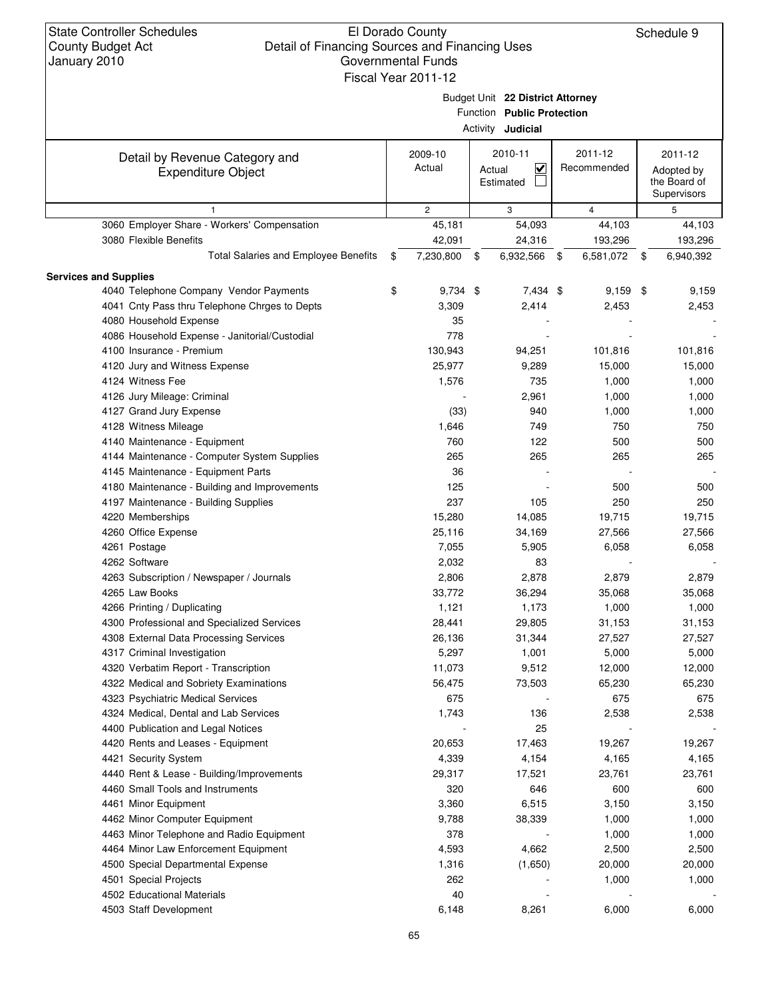|                                               |                  | Budget Unit 22 District Attorney<br>Function Public Protection<br>Activity <b>Judicial</b> |                   |                                           |
|-----------------------------------------------|------------------|--------------------------------------------------------------------------------------------|-------------------|-------------------------------------------|
| Detail by Revenue Category and                | 2009-10          | 2010-11                                                                                    | 2011-12           | 2011-12                                   |
| <b>Expenditure Object</b>                     | Actual           | $\overline{\mathbf{v}}$<br>Actual<br>Estimated                                             | Recommended       | Adopted by<br>the Board of<br>Supervisors |
| $\mathbf{1}$                                  | $\overline{2}$   | 3                                                                                          | $\overline{4}$    | 5                                         |
| 3060 Employer Share - Workers' Compensation   | 45,181           | 54,093                                                                                     | 44,103            | 44,103                                    |
| 3080 Flexible Benefits                        | 42,091           | 24,316                                                                                     | 193,296           | 193,296                                   |
| Total Salaries and Employee Benefits          | \$<br>7,230,800  | 6,932,566<br>\$                                                                            | 6,581,072<br>- \$ | \$<br>6,940,392                           |
| <b>Services and Supplies</b>                  |                  |                                                                                            |                   |                                           |
| 4040 Telephone Company Vendor Payments        | \$<br>$9,734$ \$ | 7,434 \$                                                                                   | $9,159$ \$        | 9,159                                     |
| 4041 Cnty Pass thru Telephone Chrges to Depts | 3,309            | 2,414                                                                                      | 2,453             | 2,453                                     |
| 4080 Household Expense                        | 35               |                                                                                            |                   |                                           |
| 4086 Household Expense - Janitorial/Custodial | 778              |                                                                                            |                   |                                           |
| 4100 Insurance - Premium                      | 130,943          | 94,251                                                                                     | 101,816           | 101,816                                   |
| 4120 Jury and Witness Expense                 | 25,977           | 9,289                                                                                      | 15,000            | 15,000                                    |
| 4124 Witness Fee                              | 1,576            | 735                                                                                        | 1,000             | 1,000                                     |
| 4126 Jury Mileage: Criminal                   |                  | 2,961                                                                                      | 1,000             | 1,000                                     |
| 4127 Grand Jury Expense                       | (33)             | 940                                                                                        | 1,000             | 1,000                                     |
| 4128 Witness Mileage                          | 1,646            | 749                                                                                        | 750               | 750                                       |
| 4140 Maintenance - Equipment                  | 760              | 122                                                                                        | 500               | 500                                       |
| 4144 Maintenance - Computer System Supplies   | 265              | 265                                                                                        | 265               | 265                                       |
| 4145 Maintenance - Equipment Parts            | 36               |                                                                                            |                   |                                           |
| 4180 Maintenance - Building and Improvements  | 125              |                                                                                            | 500               | 500                                       |
| 4197 Maintenance - Building Supplies          | 237              | 105                                                                                        | 250               | 250                                       |
| 4220 Memberships                              | 15,280           | 14,085                                                                                     | 19,715            | 19,715                                    |
| 4260 Office Expense                           | 25,116           | 34,169                                                                                     | 27,566            | 27,566                                    |
| 4261 Postage                                  | 7,055            | 5,905                                                                                      | 6,058             | 6,058                                     |
| 4262 Software                                 | 2,032            | 83                                                                                         |                   |                                           |
| 4263 Subscription / Newspaper / Journals      | 2,806            | 2,878                                                                                      | 2,879             | 2,879                                     |
| 4265 Law Books                                | 33,772           | 36,294                                                                                     | 35,068            | 35,068                                    |
| 4266 Printing / Duplicating                   | 1,121            | 1,173                                                                                      | 1,000             | 1,000                                     |
| 4300 Professional and Specialized Services    | 28,441           | 29,805                                                                                     | 31,153            | 31,153                                    |
| 4308 External Data Processing Services        | 26,136           | 31,344                                                                                     | 27,527            | 27,527                                    |
| 4317 Criminal Investigation                   | 5,297            | 1,001                                                                                      | 5,000             | 5,000                                     |
| 4320 Verbatim Report - Transcription          | 11,073           | 9,512                                                                                      | 12,000            | 12,000                                    |
| 4322 Medical and Sobriety Examinations        | 56,475           | 73,503                                                                                     | 65,230            | 65,230                                    |
| 4323 Psychiatric Medical Services             | 675              |                                                                                            | 675               | 675                                       |
| 4324 Medical, Dental and Lab Services         | 1,743            | 136                                                                                        | 2,538             | 2,538                                     |
| 4400 Publication and Legal Notices            |                  | 25                                                                                         |                   |                                           |
| 4420 Rents and Leases - Equipment             | 20,653           | 17,463                                                                                     | 19,267            | 19,267                                    |
| 4421 Security System                          | 4,339            | 4,154                                                                                      | 4,165             | 4,165                                     |
| 4440 Rent & Lease - Building/Improvements     | 29,317           | 17,521                                                                                     | 23,761            | 23,761                                    |
| 4460 Small Tools and Instruments              | 320              | 646                                                                                        | 600               | 600                                       |
| 4461 Minor Equipment                          | 3,360            | 6,515                                                                                      | 3,150             | 3,150                                     |
| 4462 Minor Computer Equipment                 | 9,788            | 38,339                                                                                     | 1,000             | 1,000                                     |
| 4463 Minor Telephone and Radio Equipment      | 378              |                                                                                            | 1,000             | 1,000                                     |
| 4464 Minor Law Enforcement Equipment          | 4,593            | 4,662                                                                                      | 2,500             | 2,500                                     |
| 4500 Special Departmental Expense             | 1,316            | (1,650)                                                                                    | 20,000            | 20,000                                    |
| 4501 Special Projects                         | 262              |                                                                                            | 1,000             | 1,000                                     |
| 4502 Educational Materials                    | 40               |                                                                                            |                   |                                           |
| 4503 Staff Development                        | 6,148            | 8,261                                                                                      | 6,000             | 6,000                                     |
|                                               |                  |                                                                                            |                   |                                           |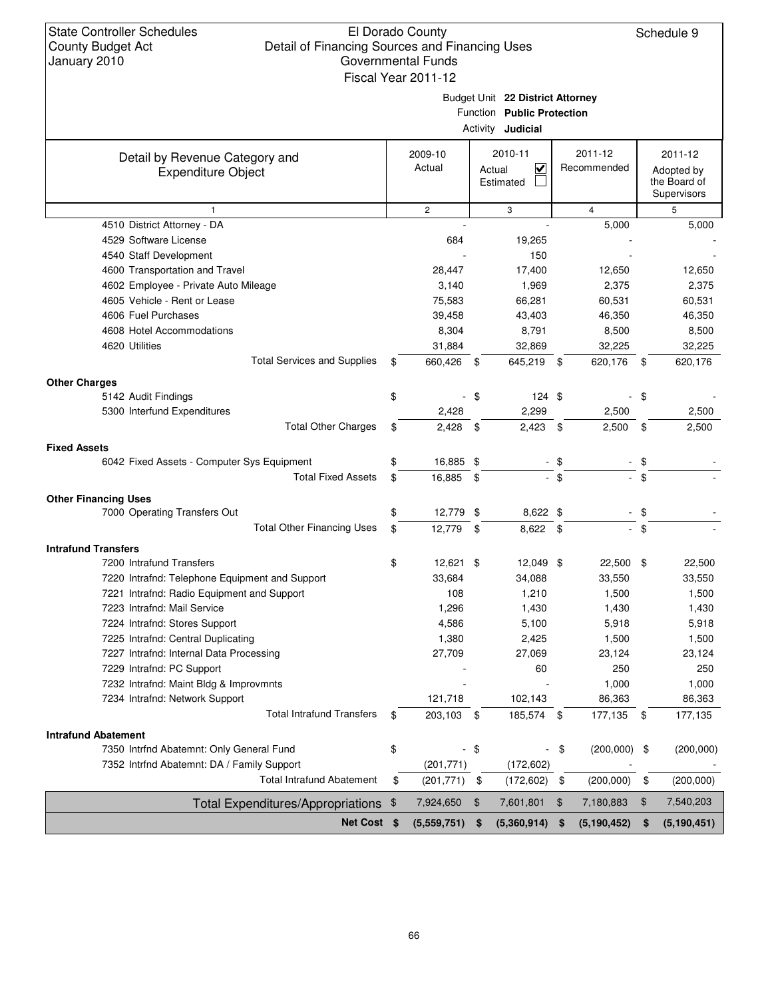State Controller Schedules County Budget Act January 2010 El Dorado County Detail of Financing Sources and Financing Uses Governmental Funds Schedule 9 Budget Unit **22 District Attorney** Function **Public Protection** Activity **Judicial** Detail by Revenue Category and Expenditure Object Fiscal Year 2011-12 Actual  $\Box$  Recommended Adopted by the Board of **Supervisors** 2009-10 2010-11 2011-12 2011-12 Estimated 1 2 3 4 5 4510 District Attorney - DA 6,000 5,000 5,000 5,000 5,000 5,000 5,000 5,000 5,000 5,000 5,000 5,000 5,000 5,000 4529 Software License 684 19,265 - - 4540 Staff Development 150 and 150 and 150 and 150 and 150 and 150 and 150 and 150 and 150 and 150 and 150 and 150 and 150 and 150 and 150 and 150 and 150 and 150 and 150 and 150 and 150 and 150 and 150 and 150 and 150 and 4600 Transportation and Travel 28,447 17,400 12,650 12,650 4602 Employee - Private Auto Mileage  $3,140$   $1,969$   $2,375$   $2,375$   $2,375$ 4605 Vehicle - Rent or Lease 75,583 66,281 60,531 60,531 4606 Fuel Purchases 39,458 43,403 46,350 46,350 4608 Hotel Accommodations 8,304 8,791 8,500 8,500 4620 Utilities 31,884 32,869 32,225 32,225 Total Services and Supplies  $$660,426$  \$645,219 \$620,176 \$620,176 **Other Charges** 5142 Audit Findings 2008 124 \$ 5142 Audit Findings 2008 124 \$ 5142 Audit Findings 5300 Interfund Expenditures 2,428 2,299 2,500 2,500 Total Other Charges  $$ 2,428 \$ 2,423 \$ 2,500 \$ 2,500$ **Fixed Assets** 6042 Fixed Assets - Computer Sys Equipment  $$$  \$  $16,885$  \$ - \$ Total Fixed Assets  $$ 16,885$   $$$ **Other Financing Uses** 7000 Operating Transfers Out  $\qquad \qquad \qquad$  \$  $\qquad \qquad$  12,779 \$  $\qquad \qquad$  8,622 \$ Total Other Financing Uses  $$ 12,779$   $$ 8,622$   $$$ **Intrafund Transfers** 7200 Intrafund Transfers 12,621 \$12,621 \$12,049 \$22,500 \$22,500 \$22,500 \$ 7220 Intrafnd: Telephone Equipment and Support 33,684 34,088 33,550 33,550 7221 Intrafnd: Radio Equipment and Support 108 1,210 1,500 1,500 1,500 1,500 7223 Intrafnd: Mail Service 1,296 1,430 1,430 1,430 7224 Intrafnd: Stores Support 4,586 5,100 5,918 5,918 7225 Intrafnd: Central Duplicating 1,380 2,425 1,500 1,500 7227 Intrafnd: Internal Data Processing 27,709 27,069 2 23,124 3,124 7229 Intrafnd: PC Support - 60 250 250 7232 Intrafnd: Maint Bldg & Improvmnts and the state of the state of the state of the state of the 1,000 and 1,000 to 1,000 and 1,000 and 1,000 and 1,000 and 1,000 and 1,000 and 1,000 and 1,000 and 1,000 and 1,000 and 1,00 7234 Intrafnd: Network Support 121,718 102,143 86,363 86,363 Total Intrafund Transfers \$ 203,103 \$ 185,574 \$ 177,135 \$ 177,135 **Intrafund Abatement** 7350 Intrind Abatemnt: Only General Fund  $\frac{1}{2}$   $\frac{1}{2}$   $\frac{1}{2}$   $\frac{1}{2}$   $\frac{1}{2}$   $\frac{1}{2}$   $\frac{1}{2}$   $\frac{1}{2}$   $\frac{1}{2}$   $\frac{1}{2}$   $\frac{1}{2}$   $\frac{1}{2}$   $\frac{1}{2}$   $\frac{1}{2}$   $\frac{1}{2}$   $\frac{1}{2}$   $\frac{1}{2}$   $\frac{1}{2}$  7352 Intrfnd Abatemnt: DA / Family Support (201,771) (172,602) - - Total Intrafund Abatement \$ (201,771) \$ (172,602) \$ (200,000) \$ (200,000) Total Expenditures/Appropriations \$ 7,924,650 \$ 7,601,801 \$ 7,180,883 \$ 7,540,203 **Net Cost \$ (5,559,751) \$ (5,360,914) \$ (5,190,451) \$ (5,190,452)**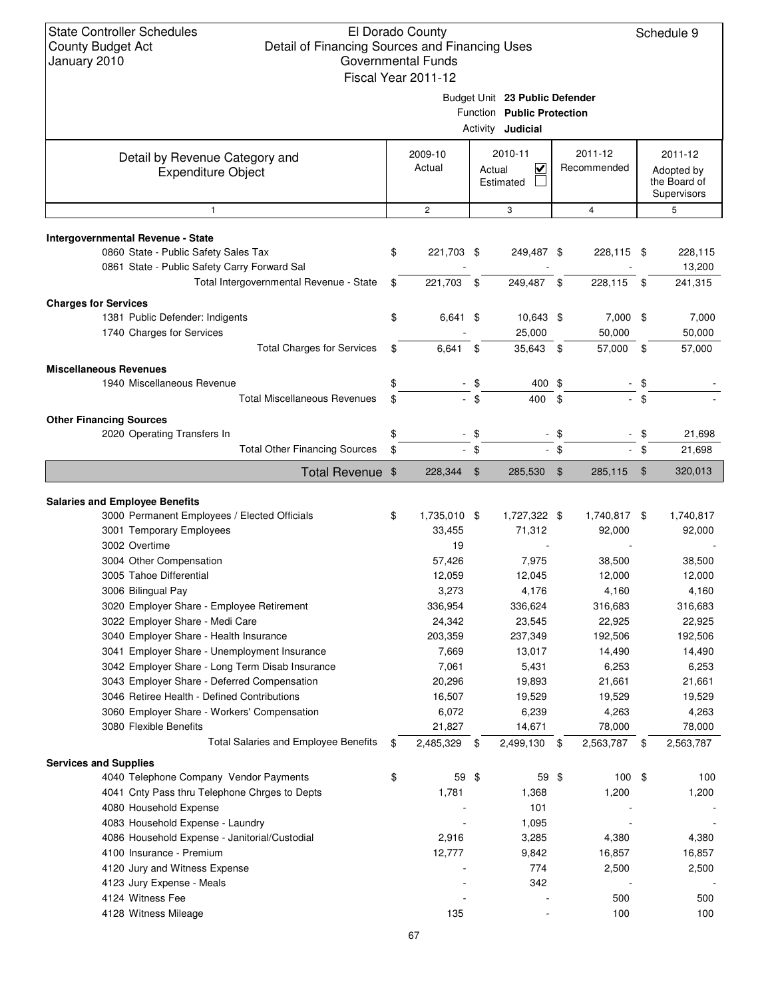|                                                                                                                                                                                                                                                                                                                                                                                                                                                                              | Fiscal Year 2011-12                                                                                                      |                |                                                                                                                    |            |                                                                                                                     |        |                                                                                                                     |
|------------------------------------------------------------------------------------------------------------------------------------------------------------------------------------------------------------------------------------------------------------------------------------------------------------------------------------------------------------------------------------------------------------------------------------------------------------------------------|--------------------------------------------------------------------------------------------------------------------------|----------------|--------------------------------------------------------------------------------------------------------------------|------------|---------------------------------------------------------------------------------------------------------------------|--------|---------------------------------------------------------------------------------------------------------------------|
|                                                                                                                                                                                                                                                                                                                                                                                                                                                                              |                                                                                                                          |                | Budget Unit 23 Public Defender<br>Function Public Protection<br>Activity <b>Judicial</b>                           |            |                                                                                                                     |        |                                                                                                                     |
| Detail by Revenue Category and<br><b>Expenditure Object</b>                                                                                                                                                                                                                                                                                                                                                                                                                  | 2009-10<br>Actual                                                                                                        |                | 2010-11<br>$\checkmark$<br>Actual<br>Estimated                                                                     |            | 2011-12<br>Recommended                                                                                              |        | 2011-12<br>Adopted by<br>the Board of<br>Supervisors                                                                |
| $\mathbf{1}$                                                                                                                                                                                                                                                                                                                                                                                                                                                                 | $\overline{2}$                                                                                                           |                | 3                                                                                                                  |            | $\overline{4}$                                                                                                      |        | 5                                                                                                                   |
|                                                                                                                                                                                                                                                                                                                                                                                                                                                                              |                                                                                                                          |                |                                                                                                                    |            |                                                                                                                     |        |                                                                                                                     |
| Intergovernmental Revenue - State<br>0860 State - Public Safety Sales Tax<br>0861 State - Public Safety Carry Forward Sal                                                                                                                                                                                                                                                                                                                                                    | \$<br>221,703 \$                                                                                                         |                | 249,487 \$                                                                                                         |            | 228,115 \$                                                                                                          |        | 228,115<br>13,200                                                                                                   |
| Total Intergovernmental Revenue - State                                                                                                                                                                                                                                                                                                                                                                                                                                      | \$<br>221,703 \$                                                                                                         |                | 249,487                                                                                                            | \$         | 228,115                                                                                                             | \$     | 241,315                                                                                                             |
| <b>Charges for Services</b>                                                                                                                                                                                                                                                                                                                                                                                                                                                  |                                                                                                                          |                |                                                                                                                    |            |                                                                                                                     |        |                                                                                                                     |
| 1381 Public Defender: Indigents                                                                                                                                                                                                                                                                                                                                                                                                                                              | \$<br>$6,641$ \$                                                                                                         |                | 10,643 \$                                                                                                          |            | 7,000 \$                                                                                                            |        | 7,000                                                                                                               |
| 1740 Charges for Services                                                                                                                                                                                                                                                                                                                                                                                                                                                    |                                                                                                                          |                | 25,000                                                                                                             |            | 50,000                                                                                                              |        | 50,000                                                                                                              |
| <b>Total Charges for Services</b>                                                                                                                                                                                                                                                                                                                                                                                                                                            | \$<br>6,641                                                                                                              | \$             | 35,643 \$                                                                                                          |            | 57,000 \$                                                                                                           |        | 57,000                                                                                                              |
|                                                                                                                                                                                                                                                                                                                                                                                                                                                                              |                                                                                                                          |                |                                                                                                                    |            |                                                                                                                     |        |                                                                                                                     |
| <b>Miscellaneous Revenues</b><br>1940 Miscellaneous Revenue                                                                                                                                                                                                                                                                                                                                                                                                                  | \$                                                                                                                       | $-$ \$         | 400 \$                                                                                                             |            |                                                                                                                     | \$     |                                                                                                                     |
| <b>Total Miscellaneous Revenues</b>                                                                                                                                                                                                                                                                                                                                                                                                                                          | \$                                                                                                                       | $-$ \$         | 400                                                                                                                | $\sqrt{3}$ |                                                                                                                     | \$     |                                                                                                                     |
|                                                                                                                                                                                                                                                                                                                                                                                                                                                                              |                                                                                                                          |                |                                                                                                                    |            |                                                                                                                     |        |                                                                                                                     |
| <b>Other Financing Sources</b>                                                                                                                                                                                                                                                                                                                                                                                                                                               |                                                                                                                          |                |                                                                                                                    |            |                                                                                                                     |        |                                                                                                                     |
| 2020 Operating Transfers In                                                                                                                                                                                                                                                                                                                                                                                                                                                  | \$                                                                                                                       | $-$ \$         |                                                                                                                    | -\$        |                                                                                                                     | \$     | 21,698                                                                                                              |
| <b>Total Other Financing Sources</b>                                                                                                                                                                                                                                                                                                                                                                                                                                         | \$                                                                                                                       | $-$ \$         |                                                                                                                    | $-$ \$     |                                                                                                                     | $-$ \$ | 21,698                                                                                                              |
| <b>Total Revenue</b>                                                                                                                                                                                                                                                                                                                                                                                                                                                         | \$<br>228,344                                                                                                            | $\mathfrak{F}$ | 285,530                                                                                                            | \$         | 285,115                                                                                                             | \$     | 320,013                                                                                                             |
| <b>Salaries and Employee Benefits</b><br>3000 Permanent Employees / Elected Officials<br>3001 Temporary Employees<br>3002 Overtime                                                                                                                                                                                                                                                                                                                                           | \$<br>1,735,010 \$<br>33,455                                                                                             |                | 1,727,322 \$<br>71,312                                                                                             |            | 1,740,817 \$<br>92,000                                                                                              |        | 1,740,817<br>92,000                                                                                                 |
| 3004 Other Compensation<br>3005 Tahoe Differential<br>3006 Bilingual Pay<br>3020 Employer Share - Employee Retirement<br>3022 Employer Share - Medi Care<br>3040 Employer Share - Health Insurance<br>3041 Employer Share - Unemployment Insurance<br>3042 Employer Share - Long Term Disab Insurance<br>3043 Employer Share - Deferred Compensation<br>3046 Retiree Health - Defined Contributions<br>3060 Employer Share - Workers' Compensation<br>3080 Flexible Benefits | 19<br>57,426<br>12,059<br>3,273<br>336,954<br>24,342<br>203,359<br>7,669<br>7,061<br>20,296<br>16,507<br>6,072<br>21,827 |                | 7,975<br>12,045<br>4,176<br>336,624<br>23,545<br>237,349<br>13,017<br>5,431<br>19,893<br>19,529<br>6,239<br>14,671 |            | 38,500<br>12,000<br>4,160<br>316,683<br>22,925<br>192,506<br>14,490<br>6,253<br>21,661<br>19,529<br>4,263<br>78,000 |        | 38,500<br>12,000<br>4,160<br>316,683<br>22,925<br>192,506<br>14,490<br>6,253<br>21,661<br>19,529<br>4,263<br>78,000 |
| Total Salaries and Employee Benefits                                                                                                                                                                                                                                                                                                                                                                                                                                         | \$<br>2,485,329 \$                                                                                                       |                | 2,499,130 \$                                                                                                       |            | 2,563,787 \$                                                                                                        |        | 2,563,787                                                                                                           |
|                                                                                                                                                                                                                                                                                                                                                                                                                                                                              |                                                                                                                          |                |                                                                                                                    |            |                                                                                                                     |        |                                                                                                                     |
| 4040 Telephone Company Vendor Payments                                                                                                                                                                                                                                                                                                                                                                                                                                       | \$<br>59 \$                                                                                                              |                | 59 \$                                                                                                              |            | $100*$                                                                                                              |        |                                                                                                                     |
| 4041 Cnty Pass thru Telephone Chrges to Depts                                                                                                                                                                                                                                                                                                                                                                                                                                | 1,781                                                                                                                    |                | 1,368                                                                                                              |            | 1,200                                                                                                               |        |                                                                                                                     |
| 4080 Household Expense                                                                                                                                                                                                                                                                                                                                                                                                                                                       |                                                                                                                          |                | 101                                                                                                                |            |                                                                                                                     |        |                                                                                                                     |
| 4083 Household Expense - Laundry                                                                                                                                                                                                                                                                                                                                                                                                                                             |                                                                                                                          |                | 1,095                                                                                                              |            |                                                                                                                     |        |                                                                                                                     |
| 4086 Household Expense - Janitorial/Custodial                                                                                                                                                                                                                                                                                                                                                                                                                                | 2,916                                                                                                                    |                | 3,285                                                                                                              |            | 4,380                                                                                                               |        |                                                                                                                     |
| 4100 Insurance - Premium                                                                                                                                                                                                                                                                                                                                                                                                                                                     | 12,777                                                                                                                   |                | 9,842                                                                                                              |            | 16,857                                                                                                              |        |                                                                                                                     |
| 4120 Jury and Witness Expense                                                                                                                                                                                                                                                                                                                                                                                                                                                |                                                                                                                          |                | 774                                                                                                                |            | 2,500                                                                                                               |        |                                                                                                                     |
| <b>Services and Supplies</b><br>4123 Jury Expense - Meals<br>4124 Witness Fee                                                                                                                                                                                                                                                                                                                                                                                                |                                                                                                                          |                | 342                                                                                                                |            | 500                                                                                                                 |        | 100<br>1,200<br>4,380<br>16,857<br>2,500<br>500                                                                     |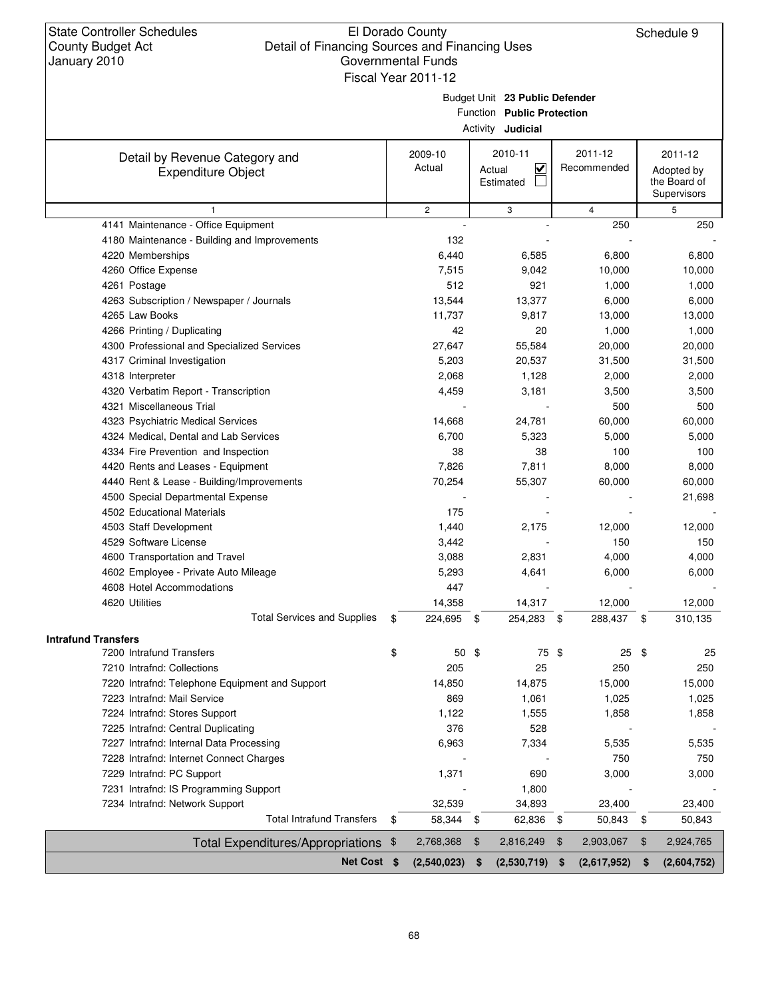|                                                             | Fiscal Year 2011-12 |                                                                                          |                         |      |                        |                                                      |
|-------------------------------------------------------------|---------------------|------------------------------------------------------------------------------------------|-------------------------|------|------------------------|------------------------------------------------------|
|                                                             |                     | Budget Unit 23 Public Defender<br>Function Public Protection<br>Activity <b>Judicial</b> |                         |      |                        |                                                      |
| Detail by Revenue Category and<br><b>Expenditure Object</b> | 2009-10<br>Actual   | 2010-11<br>Actual<br>Estimated                                                           | $\overline{\mathbf{v}}$ |      | 2011-12<br>Recommended | 2011-12<br>Adopted by<br>the Board of<br>Supervisors |
| $\mathbf{1}$                                                | $\overline{c}$      | 3                                                                                        |                         |      | $\overline{4}$         | 5                                                    |
| 4141 Maintenance - Office Equipment                         |                     |                                                                                          |                         |      | 250                    | 250                                                  |
| 4180 Maintenance - Building and Improvements                | 132                 |                                                                                          |                         |      |                        |                                                      |
| 4220 Memberships                                            | 6,440               |                                                                                          | 6,585                   |      | 6,800                  | 6,800                                                |
| 4260 Office Expense                                         | 7,515               |                                                                                          | 9,042                   |      | 10,000                 | 10,000                                               |
| 4261 Postage                                                | 512                 |                                                                                          | 921                     |      | 1,000                  | 1,000                                                |
| 4263 Subscription / Newspaper / Journals                    | 13,544              |                                                                                          | 13,377                  |      | 6,000                  | 6,000                                                |
| 4265 Law Books                                              | 11,737              |                                                                                          | 9,817                   |      | 13,000                 | 13,000                                               |
| 4266 Printing / Duplicating                                 | 42                  |                                                                                          | 20                      |      | 1,000                  | 1,000                                                |
| 4300 Professional and Specialized Services                  | 27,647              |                                                                                          | 55,584                  |      | 20,000                 | 20,000                                               |
| 4317 Criminal Investigation                                 | 5,203               |                                                                                          | 20,537                  |      | 31,500                 | 31,500                                               |
| 4318 Interpreter                                            | 2,068               |                                                                                          | 1,128                   |      | 2,000                  | 2,000                                                |
| 4320 Verbatim Report - Transcription                        | 4,459               |                                                                                          | 3,181                   |      | 3,500                  | 3,500                                                |
| 4321 Miscellaneous Trial                                    |                     |                                                                                          |                         |      | 500                    | 500                                                  |
| 4323 Psychiatric Medical Services                           | 14,668              |                                                                                          | 24,781                  |      | 60,000                 | 60,000                                               |
| 4324 Medical, Dental and Lab Services                       | 6,700               |                                                                                          | 5,323                   |      | 5,000                  | 5,000                                                |
| 4334 Fire Prevention and Inspection                         | 38                  |                                                                                          | 38                      |      | 100                    | 100                                                  |
| 4420 Rents and Leases - Equipment                           | 7,826               |                                                                                          | 7,811                   |      | 8,000                  | 8,000                                                |
| 4440 Rent & Lease - Building/Improvements                   | 70,254              |                                                                                          | 55,307                  |      | 60,000                 | 60,000                                               |
| 4500 Special Departmental Expense                           |                     |                                                                                          |                         |      |                        | 21,698                                               |
| 4502 Educational Materials                                  | 175                 |                                                                                          |                         |      |                        |                                                      |
| 4503 Staff Development                                      | 1,440               |                                                                                          | 2,175                   |      | 12,000                 | 12,000                                               |
| 4529 Software License                                       | 3,442               |                                                                                          |                         |      | 150                    | 150                                                  |
| 4600 Transportation and Travel                              | 3,088               |                                                                                          | 2,831                   |      | 4,000                  | 4,000                                                |
| 4602 Employee - Private Auto Mileage                        | 5,293               |                                                                                          | 4,641                   |      | 6,000                  | 6,000                                                |
| 4608 Hotel Accommodations                                   | 447                 |                                                                                          |                         |      |                        |                                                      |
| 4620 Utilities                                              | 14,358              |                                                                                          | 14,317                  |      | 12,000                 | 12,000                                               |
| <b>Total Services and Supplies</b>                          | \$<br>224,695 \$    |                                                                                          | 254,283                 | - \$ | 288,437 \$             | 310,135                                              |
| <b>Intrafund Transfers</b><br>7200 Intrafund Transfers      | \$<br>$50*$         |                                                                                          | 75 \$                   |      |                        | \$                                                   |
| 7210 Intrafnd: Collections                                  | 205                 |                                                                                          | 25                      |      | 25<br>250              | 25<br>250                                            |
| 7220 Intrafnd: Telephone Equipment and Support              | 14,850              |                                                                                          | 14,875                  |      | 15,000                 | 15,000                                               |
| 7223 Intrafnd: Mail Service                                 | 869                 |                                                                                          | 1,061                   |      | 1,025                  | 1,025                                                |
| 7224 Intrafnd: Stores Support                               | 1,122               |                                                                                          | 1,555                   |      | 1,858                  | 1,858                                                |
| 7225 Intrafnd: Central Duplicating                          | 376                 |                                                                                          | 528                     |      |                        |                                                      |
| 7227 Intrafnd: Internal Data Processing                     | 6,963               |                                                                                          | 7,334                   |      | 5,535                  | 5,535                                                |
| 7228 Intrafnd: Internet Connect Charges                     |                     |                                                                                          |                         |      | 750                    | 750                                                  |
| 7229 Intrafnd: PC Support                                   | 1,371               |                                                                                          | 690                     |      | 3,000                  | 3,000                                                |
| 7231 Intrafnd: IS Programming Support                       |                     |                                                                                          | 1,800                   |      |                        |                                                      |
| 7234 Intrafnd: Network Support                              | 32,539              |                                                                                          | 34,893                  |      | 23,400                 | 23,400                                               |
| <b>Total Intrafund Transfers</b>                            | \$<br>58,344        | \$                                                                                       | 62,836                  | \$   | 50,843                 | \$<br>50,843                                         |
| <b>Total Expenditures/Appropriations</b>                    | \$<br>2,768,368     | \$                                                                                       | 2,816,249               | \$   | 2,903,067              | \$<br>2,924,765                                      |
| Net Cost \$                                                 | $(2,540,023)$ \$    |                                                                                          | (2,530,719)             | \$   | (2,617,952)            | \$<br>(2,604,752)                                    |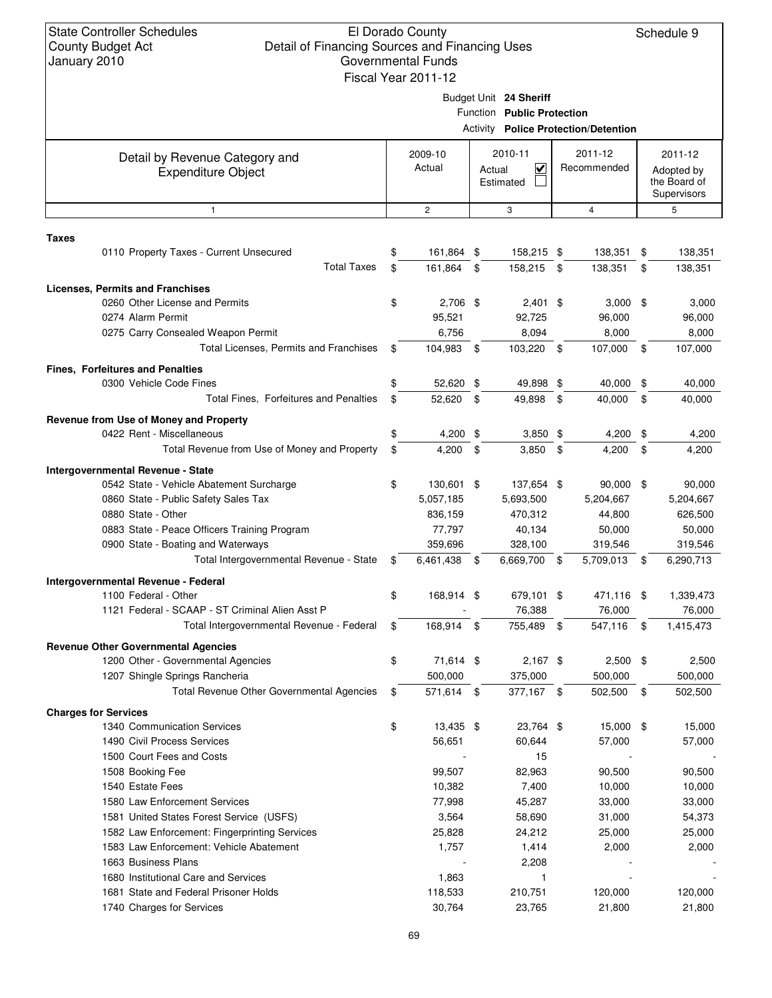| January ZUTU |                                                                               | <u>UUVUIIIIIIEIIIAI LUIIUS</u><br>Fiscal Year 2011-12 |                                     |     |                                             |      |                            |
|--------------|-------------------------------------------------------------------------------|-------------------------------------------------------|-------------------------------------|-----|---------------------------------------------|------|----------------------------|
|              |                                                                               |                                                       |                                     |     |                                             |      |                            |
|              |                                                                               |                                                       | Budget Unit 24 Sheriff              |     |                                             |      |                            |
|              |                                                                               |                                                       | Function Public Protection          |     | <b>Activity Police Protection/Detention</b> |      |                            |
|              |                                                                               |                                                       |                                     |     |                                             |      |                            |
|              | Detail by Revenue Category and                                                | 2009-10                                               | 2010-11                             |     | 2011-12                                     |      | 2011-12                    |
|              | <b>Expenditure Object</b>                                                     | Actual                                                | $\checkmark$<br>Actual<br>Estimated |     | Recommended                                 |      | Adopted by<br>the Board of |
|              |                                                                               |                                                       |                                     |     |                                             |      | Supervisors                |
|              | $\mathbf{1}$                                                                  | $\mathbf{2}$                                          | 3                                   |     | $\overline{4}$                              |      | 5                          |
| <b>Taxes</b> |                                                                               |                                                       |                                     |     |                                             |      |                            |
|              | 0110 Property Taxes - Current Unsecured                                       | \$<br>161,864 \$                                      | 158,215 \$                          |     | 138,351                                     | \$   | 138,351                    |
|              | <b>Total Taxes</b>                                                            | \$<br>161,864                                         | \$<br>158,215 \$                    |     | 138,351                                     | \$   | 138,351                    |
|              | <b>Licenses, Permits and Franchises</b>                                       |                                                       |                                     |     |                                             |      |                            |
|              | 0260 Other License and Permits                                                | \$<br>2,706 \$                                        | $2,401$ \$                          |     | $3,000$ \$                                  |      | 3,000                      |
|              | 0274 Alarm Permit                                                             | 95,521                                                | 92,725                              |     | 96,000                                      |      | 96,000                     |
|              | 0275 Carry Consealed Weapon Permit                                            | 6,756                                                 | 8,094                               |     | 8,000                                       |      | 8,000                      |
|              | Total Licenses, Permits and Franchises                                        | \$<br>104,983                                         | \$<br>103,220 \$                    |     | 107,000                                     | - \$ | 107,000                    |
|              | <b>Fines, Forfeitures and Penalties</b>                                       |                                                       |                                     |     |                                             |      |                            |
|              | 0300 Vehicle Code Fines                                                       | \$<br>52,620 \$                                       | 49,898 \$                           |     | 40,000 \$                                   |      | 40,000                     |
|              | Total Fines, Forfeitures and Penalties                                        | \$<br>52,620                                          | \$<br>49,898                        | \$  | 40,000                                      | \$   | 40,000                     |
|              |                                                                               |                                                       |                                     |     |                                             |      |                            |
|              | Revenue from Use of Money and Property<br>0422 Rent - Miscellaneous           | \$<br>$4,200$ \$                                      | $3,850$ \$                          |     | 4,200                                       | \$   | 4,200                      |
|              | Total Revenue from Use of Money and Property                                  | \$<br>4,200                                           | \$<br>3,850                         | \$  | 4,200                                       | \$   | 4,200                      |
|              |                                                                               |                                                       |                                     |     |                                             |      |                            |
|              | Intergovernmental Revenue - State<br>0542 State - Vehicle Abatement Surcharge | \$<br>130,601 \$                                      | 137,654 \$                          |     | $90,000$ \$                                 |      | 90,000                     |
|              | 0860 State - Public Safety Sales Tax                                          | 5,057,185                                             | 5,693,500                           |     | 5,204,667                                   |      | 5,204,667                  |
|              | 0880 State - Other                                                            | 836,159                                               | 470,312                             |     | 44,800                                      |      | 626,500                    |
|              | 0883 State - Peace Officers Training Program                                  | 77,797                                                | 40,134                              |     | 50,000                                      |      | 50,000                     |
|              | 0900 State - Boating and Waterways                                            | 359,696                                               | 328,100                             |     | 319,546                                     |      | 319,546                    |
|              | Total Intergovernmental Revenue - State                                       | \$<br>6,461,438                                       | \$<br>6,669,700                     | \$  | 5,709,013 \$                                |      | 6,290,713                  |
|              | Intergovernmental Revenue - Federal                                           |                                                       |                                     |     |                                             |      |                            |
|              | 1100 Federal - Other                                                          | \$<br>168,914 \$                                      | 679,101 \$                          |     | 471,116 \$                                  |      | 1,339,473                  |
|              | 1121 Federal - SCAAP - ST Criminal Alien Asst P                               |                                                       | 76,388                              |     | 76,000                                      |      | 76,000                     |
|              | Total Intergovernmental Revenue - Federal                                     | \$<br>168.914                                         | \$<br>755.489                       | -\$ | 547.116 \$                                  |      | 1,415,473                  |
|              | <b>Revenue Other Governmental Agencies</b>                                    |                                                       |                                     |     |                                             |      |                            |
|              | 1200 Other - Governmental Agencies                                            | \$<br>71,614 \$                                       | $2,167$ \$                          |     | $2,500$ \$                                  |      | 2,500                      |
|              | 1207 Shingle Springs Rancheria                                                | 500,000                                               | 375,000                             |     | 500,000                                     |      | 500,000                    |
|              | Total Revenue Other Governmental Agencies                                     | \$<br>571,614 \$                                      | 377,167 \$                          |     | 502,500 \$                                  |      | 502,500                    |
|              |                                                                               |                                                       |                                     |     |                                             |      |                            |
|              | <b>Charges for Services</b><br>1340 Communication Services                    | \$<br>13,435 \$                                       | 23,764 \$                           |     | 15,000 \$                                   |      | 15,000                     |
|              | 1490 Civil Process Services                                                   | 56,651                                                | 60,644                              |     | 57,000                                      |      | 57,000                     |
|              | 1500 Court Fees and Costs                                                     |                                                       | 15                                  |     |                                             |      |                            |
|              | 1508 Booking Fee                                                              | 99,507                                                | 82,963                              |     | 90,500                                      |      | 90,500                     |
|              | 1540 Estate Fees                                                              | 10,382                                                | 7,400                               |     | 10,000                                      |      | 10,000                     |
|              | 1580 Law Enforcement Services                                                 | 77,998                                                | 45,287                              |     | 33,000                                      |      | 33,000                     |
|              | 1581 United States Forest Service (USFS)                                      | 3,564                                                 | 58,690                              |     | 31,000                                      |      | 54,373                     |
|              | 1582 Law Enforcement: Fingerprinting Services                                 | 25,828                                                | 24,212                              |     | 25,000                                      |      | 25,000                     |
|              | 1583 Law Enforcement: Vehicle Abatement                                       | 1,757                                                 | 1,414                               |     | 2,000                                       |      | 2,000                      |
|              | 1663 Business Plans                                                           |                                                       | 2,208                               |     |                                             |      |                            |
|              | 1680 Institutional Care and Services                                          | 1,863                                                 | 1                                   |     |                                             |      |                            |
|              | 1681 State and Federal Prisoner Holds                                         | 118,533                                               | 210,751                             |     | 120,000                                     |      | 120,000                    |
|              | 1740 Charges for Services                                                     | 30,764                                                | 23,765                              |     | 21,800                                      |      | 21,800                     |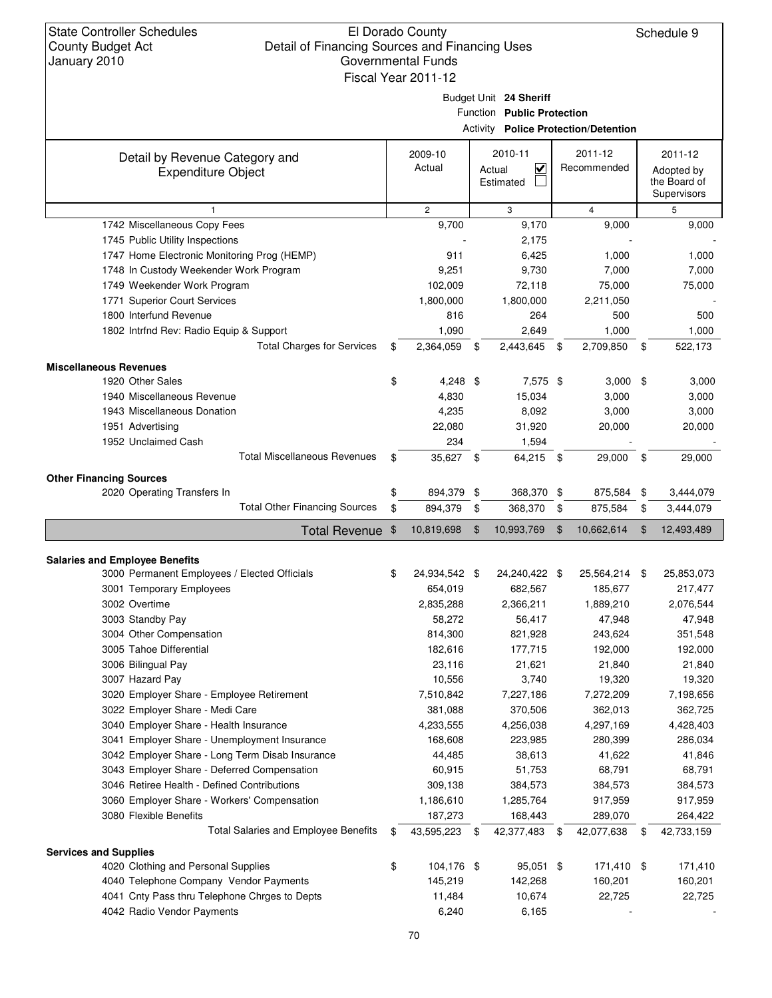Schedule 9

Budget Unit **24 Sheriff**

Function **Public Protection**

Activity **Police Protection/Detention**

|                                                             |                     |      |                                                | ACtivity <b>Police Protection/Detention</b> |                                                      |
|-------------------------------------------------------------|---------------------|------|------------------------------------------------|---------------------------------------------|------------------------------------------------------|
| Detail by Revenue Category and<br><b>Expenditure Object</b> | 2009-10<br>Actual   |      | 2010-11<br>$\checkmark$<br>Actual<br>Estimated | 2011-12<br>Recommended                      | 2011-12<br>Adopted by<br>the Board of<br>Supervisors |
| $\mathbf{1}$                                                | $\overline{2}$      |      | 3                                              | $\overline{4}$                              | 5                                                    |
| 1742 Miscellaneous Copy Fees                                | 9,700               |      | 9,170                                          | 9,000                                       | 9,000                                                |
| 1745 Public Utility Inspections                             |                     |      | 2,175                                          |                                             |                                                      |
| 1747 Home Electronic Monitoring Prog (HEMP)                 | 911                 |      | 6,425                                          | 1,000                                       | 1,000                                                |
| 1748 In Custody Weekender Work Program                      | 9,251               |      | 9,730                                          | 7,000                                       | 7,000                                                |
| 1749 Weekender Work Program                                 | 102,009             |      | 72,118                                         | 75,000                                      | 75,000                                               |
| 1771 Superior Court Services                                | 1,800,000           |      | 1,800,000                                      | 2,211,050                                   |                                                      |
| 1800 Interfund Revenue                                      | 816                 |      | 264                                            | 500                                         | 500                                                  |
| 1802 Intrfnd Rev: Radio Equip & Support                     | 1,090               |      | 2,649                                          | 1,000                                       | 1,000                                                |
| <b>Total Charges for Services</b>                           | \$<br>2,364,059     | \$   | 2,443,645                                      | \$<br>2,709,850                             | \$<br>522,173                                        |
| <b>Miscellaneous Revenues</b>                               |                     |      |                                                |                                             |                                                      |
| 1920 Other Sales                                            | \$<br>$4,248$ \$    |      | 7,575 \$                                       | $3,000$ \$                                  | 3,000                                                |
| 1940 Miscellaneous Revenue                                  | 4,830               |      | 15,034                                         | 3,000                                       | 3,000                                                |
| 1943 Miscellaneous Donation                                 | 4,235               |      | 8,092                                          | 3,000                                       | 3,000                                                |
| 1951 Advertising                                            | 22,080              |      | 31,920                                         | 20,000                                      | 20,000                                               |
| 1952 Unclaimed Cash                                         | 234                 |      | 1,594                                          |                                             |                                                      |
| <b>Total Miscellaneous Revenues</b>                         | \$<br>35,627 \$     |      | 64,215 \$                                      | 29,000                                      | \$<br>29,000                                         |
|                                                             |                     |      |                                                |                                             |                                                      |
| <b>Other Financing Sources</b>                              |                     |      |                                                |                                             |                                                      |
| 2020 Operating Transfers In                                 | \$<br>894,379       | \$   | 368,370 \$                                     | 875,584                                     | \$<br>3,444,079                                      |
| <b>Total Other Financing Sources</b>                        | \$<br>894,379       | \$   | 368,370                                        | \$<br>875,584                               | \$<br>3,444,079                                      |
| <b>Total Revenue</b>                                        | \$<br>10,819,698    | \$   | 10,993,769                                     | \$<br>10,662,614                            | \$<br>12,493,489                                     |
|                                                             |                     |      |                                                |                                             |                                                      |
| <b>Salaries and Employee Benefits</b>                       |                     |      |                                                |                                             |                                                      |
| 3000 Permanent Employees / Elected Officials                | \$<br>24,934,542 \$ |      | 24,240,422 \$                                  | 25,564,214 \$                               | 25,853,073                                           |
| 3001 Temporary Employees                                    | 654,019             |      | 682,567                                        | 185,677                                     | 217,477                                              |
| 3002 Overtime                                               | 2,835,288           |      | 2,366,211                                      | 1,889,210                                   | 2,076,544                                            |
| 3003 Standby Pay                                            | 58,272              |      | 56,417                                         | 47,948                                      | 47,948                                               |
| 3004 Other Compensation                                     | 814,300             |      | 821,928                                        | 243,624                                     | 351,548                                              |
| 3005 Tahoe Differential                                     | 182,616             |      | 177,715                                        | 192,000                                     | 192,000                                              |
| 3006 Bilingual Pay                                          | 23,116              |      | 21,621                                         | 21,840                                      | 21,840                                               |
| 3007 Hazard Pay                                             | 10,556              |      | 3,740                                          | 19,320                                      | 19,320                                               |
| 3020 Employer Share - Employee Retirement                   | 7,510,842           |      | 7,227,186                                      | 7,272,209                                   | 7,198,656                                            |
| 3022 Employer Share - Medi Care                             | 381,088             |      | 370,506                                        | 362,013                                     | 362,725                                              |
| 3040 Employer Share - Health Insurance                      | 4,233,555           |      | 4,256,038                                      | 4,297,169                                   | 4,428,403                                            |
| 3041 Employer Share - Unemployment Insurance                | 168,608             |      | 223,985                                        | 280,399                                     | 286,034                                              |
| 3042 Employer Share - Long Term Disab Insurance             | 44,485              |      | 38,613                                         | 41,622                                      | 41,846                                               |
| 3043 Employer Share - Deferred Compensation                 | 60,915              |      | 51,753                                         | 68,791                                      | 68,791                                               |
| 3046 Retiree Health - Defined Contributions                 | 309,138             |      | 384,573                                        | 384,573                                     | 384,573                                              |
| 3060 Employer Share - Workers' Compensation                 | 1,186,610           |      | 1,285,764                                      | 917,959                                     | 917,959                                              |
| 3080 Flexible Benefits                                      | 187,273             |      | 168,443                                        | 289,070                                     | 264,422                                              |
| Total Salaries and Employee Benefits                        | \$<br>43,595,223    | - \$ | 42,377,483 \$                                  | 42,077,638                                  | \$<br>42,733,159                                     |
| <b>Services and Supplies</b>                                |                     |      |                                                |                                             |                                                      |
| 4020 Clothing and Personal Supplies                         | \$<br>104,176 \$    |      | 95,051 \$                                      | 171,410 \$                                  | 171,410                                              |
| 4040 Telephone Company Vendor Payments                      | 145,219             |      | 142,268                                        | 160,201                                     | 160,201                                              |
| 4041 Cnty Pass thru Telephone Chrges to Depts               | 11,484              |      | 10,674                                         | 22,725                                      | 22,725                                               |
| 4042 Radio Vendor Payments                                  | 6,240               |      | 6,165                                          |                                             |                                                      |
|                                                             |                     |      |                                                |                                             |                                                      |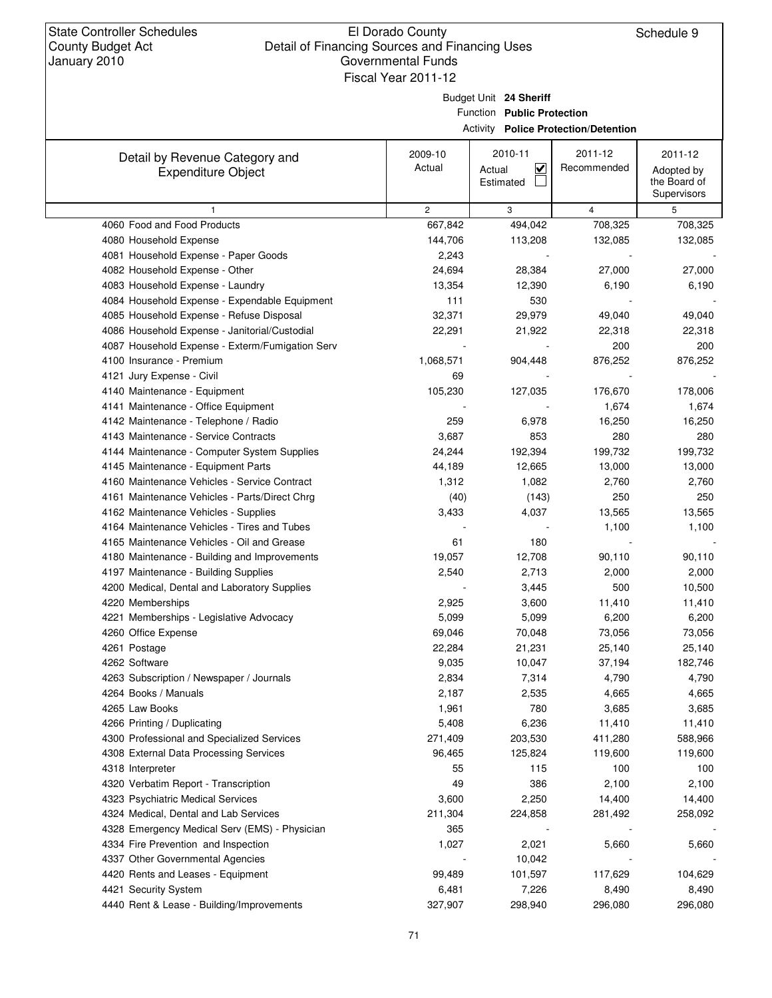Budget Unit **24 Sheriff**

Function **Public Protection**

Activity **Police Protection/Detention**

| Detail by Revenue Category and<br><b>Expenditure Object</b> | 2009-10<br>Actual | 2010-11<br>$\blacktriangledown$<br>Actual<br>Estimated | 2011-12<br>Recommended | 2011-12<br>Adopted by<br>the Board of |
|-------------------------------------------------------------|-------------------|--------------------------------------------------------|------------------------|---------------------------------------|
|                                                             |                   |                                                        |                        | Supervisors                           |
| 1                                                           | $\overline{c}$    | 3                                                      | $\overline{4}$         | 5                                     |
| 4060 Food and Food Products                                 | 667,842           | 494,042                                                | 708,325                | 708,325                               |
| 4080 Household Expense                                      | 144,706           | 113,208                                                | 132,085                | 132,085                               |
| 4081 Household Expense - Paper Goods                        | 2,243             |                                                        |                        |                                       |
| 4082 Household Expense - Other                              | 24,694            | 28,384                                                 | 27,000                 | 27,000                                |
| 4083 Household Expense - Laundry                            | 13,354            | 12,390                                                 | 6,190                  | 6,190                                 |
| 4084 Household Expense - Expendable Equipment               | 111               | 530                                                    |                        |                                       |
| 4085 Household Expense - Refuse Disposal                    | 32,371            | 29,979                                                 | 49,040                 | 49,040                                |
| 4086 Household Expense - Janitorial/Custodial               | 22,291            | 21,922                                                 | 22,318                 | 22,318                                |
| 4087 Household Expense - Exterm/Fumigation Serv             |                   |                                                        | 200                    | 200                                   |
| 4100 Insurance - Premium                                    | 1,068,571         | 904,448                                                | 876,252                | 876,252                               |
| 4121 Jury Expense - Civil                                   | 69                |                                                        |                        |                                       |
| 4140 Maintenance - Equipment                                | 105,230           | 127,035                                                | 176,670                | 178,006                               |
| 4141 Maintenance - Office Equipment                         |                   |                                                        | 1,674                  | 1,674                                 |
| 4142 Maintenance - Telephone / Radio                        | 259               | 6,978                                                  | 16,250                 | 16,250                                |
| 4143 Maintenance - Service Contracts                        | 3,687             | 853                                                    | 280                    | 280                                   |
| 4144 Maintenance - Computer System Supplies                 | 24,244            | 192,394                                                | 199,732                | 199,732                               |
| 4145 Maintenance - Equipment Parts                          | 44,189            | 12,665                                                 | 13,000                 | 13,000                                |
| 4160 Maintenance Vehicles - Service Contract                | 1,312             | 1,082                                                  | 2,760                  | 2,760                                 |
| 4161 Maintenance Vehicles - Parts/Direct Chrg               | (40)              | (143)                                                  | 250                    | 250                                   |
| 4162 Maintenance Vehicles - Supplies                        | 3,433             | 4,037                                                  | 13,565                 | 13,565                                |
| 4164 Maintenance Vehicles - Tires and Tubes                 |                   |                                                        | 1,100                  | 1,100                                 |
| 4165 Maintenance Vehicles - Oil and Grease                  | 61                | 180                                                    |                        |                                       |
| 4180 Maintenance - Building and Improvements                | 19,057            | 12,708                                                 | 90,110                 | 90,110                                |
| 4197 Maintenance - Building Supplies                        | 2,540             | 2,713                                                  | 2,000                  | 2,000                                 |
| 4200 Medical, Dental and Laboratory Supplies                |                   | 3,445                                                  | 500                    | 10,500                                |
| 4220 Memberships                                            | 2,925             | 3,600                                                  | 11,410                 | 11,410                                |
| 4221 Memberships - Legislative Advocacy                     | 5,099             | 5,099                                                  | 6,200                  | 6,200                                 |
| 4260 Office Expense                                         | 69,046            | 70,048                                                 | 73,056                 | 73,056                                |
| 4261 Postage                                                | 22,284            | 21,231                                                 | 25,140                 | 25,140                                |
| 4262 Software                                               | 9,035             | 10,047                                                 | 37,194                 | 182,746                               |
| 4263 Subscription / Newspaper / Journals                    | 2,834             | 7,314                                                  | 4,790                  | 4,790                                 |
| 4264 Books / Manuals                                        | 2,187             | 2,535                                                  | 4,665                  | 4,665                                 |
| 4265 Law Books                                              | 1,961             | 780                                                    | 3,685                  | 3,685                                 |
| 4266 Printing / Duplicating                                 | 5,408             | 6,236                                                  | 11,410                 | 11,410                                |
| 4300 Professional and Specialized Services                  | 271,409           | 203,530                                                | 411,280                | 588,966                               |
| 4308 External Data Processing Services                      | 96,465            | 125,824                                                | 119,600                | 119,600                               |
| 4318 Interpreter                                            | 55                | 115                                                    | 100                    | 100                                   |
| 4320 Verbatim Report - Transcription                        | 49                | 386                                                    | 2,100                  | 2,100                                 |
| 4323 Psychiatric Medical Services                           | 3,600             | 2,250                                                  | 14,400                 | 14,400                                |
| 4324 Medical, Dental and Lab Services                       | 211,304           | 224,858                                                | 281,492                | 258,092                               |
| 4328 Emergency Medical Serv (EMS) - Physician               | 365               |                                                        |                        |                                       |
| 4334 Fire Prevention and Inspection                         | 1,027             | 2,021                                                  | 5,660                  | 5,660                                 |
| 4337 Other Governmental Agencies                            |                   | 10,042                                                 |                        |                                       |
| 4420 Rents and Leases - Equipment                           | 99,489            | 101,597                                                | 117,629                | 104,629                               |
| 4421 Security System                                        | 6,481             | 7,226                                                  | 8,490                  | 8,490                                 |
| 4440 Rent & Lease - Building/Improvements                   | 327,907           | 298,940                                                | 296,080                | 296,080                               |
|                                                             |                   |                                                        |                        |                                       |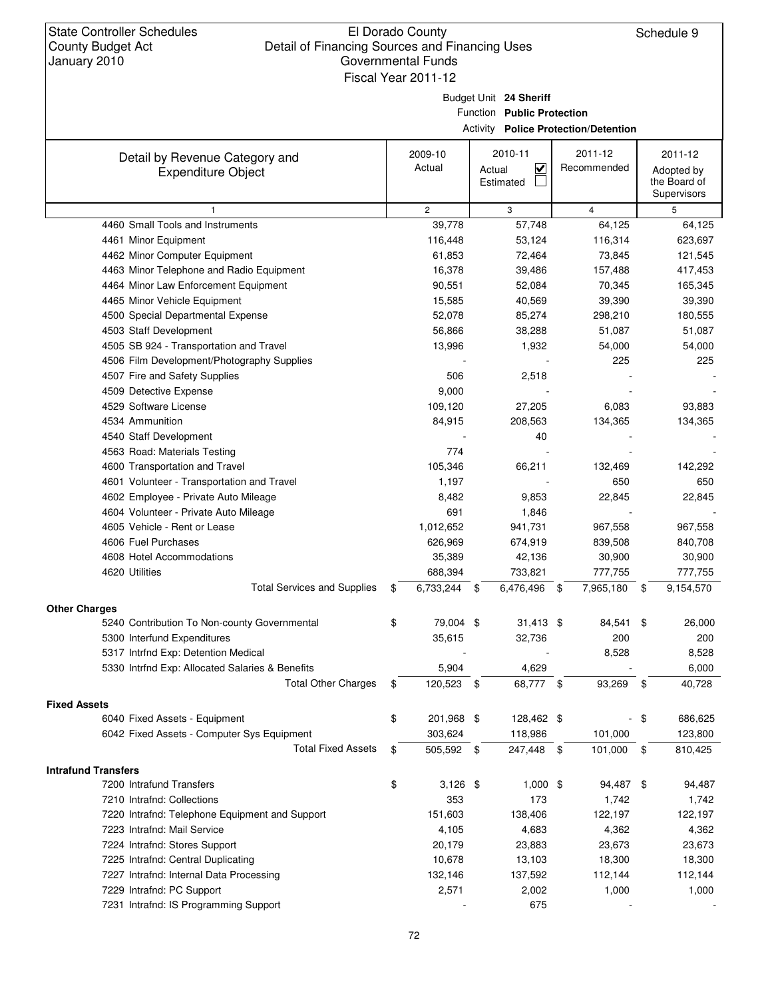Budget Unit **24 Sheriff**

Function **Public Protection**

Activity **Police Protection/Detention**

| Detail by Revenue Category and                                                | 2009-10                 | 2010-11                           | 2011-12          | 2011-12                     |
|-------------------------------------------------------------------------------|-------------------------|-----------------------------------|------------------|-----------------------------|
| <b>Expenditure Object</b>                                                     | Actual                  | $\overline{\mathbf{v}}$<br>Actual | Recommended      | Adopted by                  |
|                                                                               |                         | Estimated                         |                  | the Board of<br>Supervisors |
|                                                                               | $\overline{c}$          | 3                                 | $\overline{4}$   | 5                           |
| 4460 Small Tools and Instruments                                              | 39,778                  | 57,748                            | 64,125           | 64,125                      |
| 4461 Minor Equipment                                                          | 116,448                 | 53,124                            | 116,314          | 623,697                     |
| 4462 Minor Computer Equipment                                                 | 61,853                  | 72,464                            | 73,845           | 121,545                     |
| 4463 Minor Telephone and Radio Equipment                                      | 16,378                  | 39,486                            | 157,488          | 417,453                     |
| 4464 Minor Law Enforcement Equipment                                          | 90,551                  | 52,084                            | 70,345           | 165,345                     |
| 4465 Minor Vehicle Equipment                                                  | 15,585                  | 40,569                            | 39,390           | 39,390                      |
| 4500 Special Departmental Expense                                             | 52,078                  | 85,274                            | 298,210          | 180,555                     |
| 4503 Staff Development                                                        | 56,866                  | 38,288                            | 51,087           | 51,087                      |
| 4505 SB 924 - Transportation and Travel                                       | 13,996                  | 1,932                             | 54,000           | 54,000                      |
| 4506 Film Development/Photography Supplies                                    |                         |                                   | 225              | 225                         |
| 4507 Fire and Safety Supplies                                                 | 506                     | 2,518                             |                  |                             |
| 4509 Detective Expense                                                        | 9,000                   |                                   |                  |                             |
| 4529 Software License                                                         | 109,120                 | 27,205                            | 6,083            | 93,883                      |
| 4534 Ammunition                                                               | 84,915                  | 208,563                           | 134,365          | 134,365                     |
| 4540 Staff Development                                                        |                         | 40                                |                  |                             |
| 4563 Road: Materials Testing                                                  | 774                     |                                   |                  |                             |
| 4600 Transportation and Travel                                                | 105,346                 | 66,211                            | 132,469          | 142,292                     |
| 4601 Volunteer - Transportation and Travel                                    | 1,197                   |                                   | 650              | 650                         |
| 4602 Employee - Private Auto Mileage                                          | 8,482                   | 9,853                             | 22,845           | 22,845                      |
| 4604 Volunteer - Private Auto Mileage                                         | 691                     | 1,846                             |                  |                             |
| 4605 Vehicle - Rent or Lease                                                  | 1,012,652               | 941,731                           | 967,558          | 967,558                     |
| 4606 Fuel Purchases                                                           | 626,969                 | 674,919                           | 839,508          | 840,708                     |
| 4608 Hotel Accommodations                                                     | 35,389                  | 42,136                            | 30,900           | 30,900                      |
| 4620 Utilities                                                                | 688,394                 | 733,821                           | 777,755          | 777,755                     |
| <b>Total Services and Supplies</b>                                            | \$<br>6,733,244         | 6,476,496<br>\$                   | \$<br>7,965,180  | \$<br>9,154,570             |
| <b>Other Charges</b>                                                          |                         |                                   |                  |                             |
| 5240 Contribution To Non-county Governmental                                  | \$<br>79,004 \$         | $31,413$ \$                       | 84,541           | \$<br>26,000                |
| 5300 Interfund Expenditures                                                   | 35,615                  | 32,736                            | 200              | 200                         |
| 5317 Intrfnd Exp: Detention Medical                                           |                         |                                   | 8,528            | 8,528                       |
| 5330 Intrfnd Exp: Allocated Salaries & Benefits                               | 5,904                   | 4,629                             |                  | 6,000                       |
| <b>Total Other Charges</b>                                                    | \$<br>120,523           | - \$<br>68,777 \$                 | 93,269           | \$<br>40,728                |
| <b>Fixed Assets</b>                                                           |                         |                                   |                  |                             |
| 6040 Fixed Assets - Equipment                                                 | \$<br>201,968 \$        | 128,462 \$                        |                  | \$<br>686,625               |
| 6042 Fixed Assets - Computer Sys Equipment                                    | 303,624                 | 118,986                           | 101,000          | 123,800                     |
| <b>Total Fixed Assets</b>                                                     | \$<br>505,592 \$        | 247,448 \$                        | 101,000          | \$<br>810,425               |
|                                                                               |                         |                                   |                  |                             |
| <b>Intrafund Transfers</b><br>7200 Intrafund Transfers                        |                         | $1,000$ \$                        |                  |                             |
|                                                                               | \$<br>$3,126$ \$<br>353 |                                   | 94,487 \$        | 94,487                      |
| 7210 Intrafnd: Collections<br>7220 Intrafnd: Telephone Equipment and Support  | 151,603                 | 173                               | 1,742<br>122,197 | 1,742                       |
|                                                                               |                         | 138,406                           |                  | 122,197                     |
| 7223 Intrafnd: Mail Service                                                   | 4,105                   | 4,683                             | 4,362            | 4,362                       |
| 7224 Intrafnd: Stores Support                                                 | 20,179<br>10,678        | 23,883                            | 23,673           | 23,673                      |
| 7225 Intrafnd: Central Duplicating<br>7227 Intrafnd: Internal Data Processing |                         | 13,103                            | 18,300           | 18,300                      |
|                                                                               | 132,146                 | 137,592                           | 112,144          | 112,144                     |
| 7229 Intrafnd: PC Support<br>7231 Intrafnd: IS Programming Support            | 2,571                   | 2,002<br>675                      | 1,000            | 1,000                       |
|                                                                               |                         |                                   |                  |                             |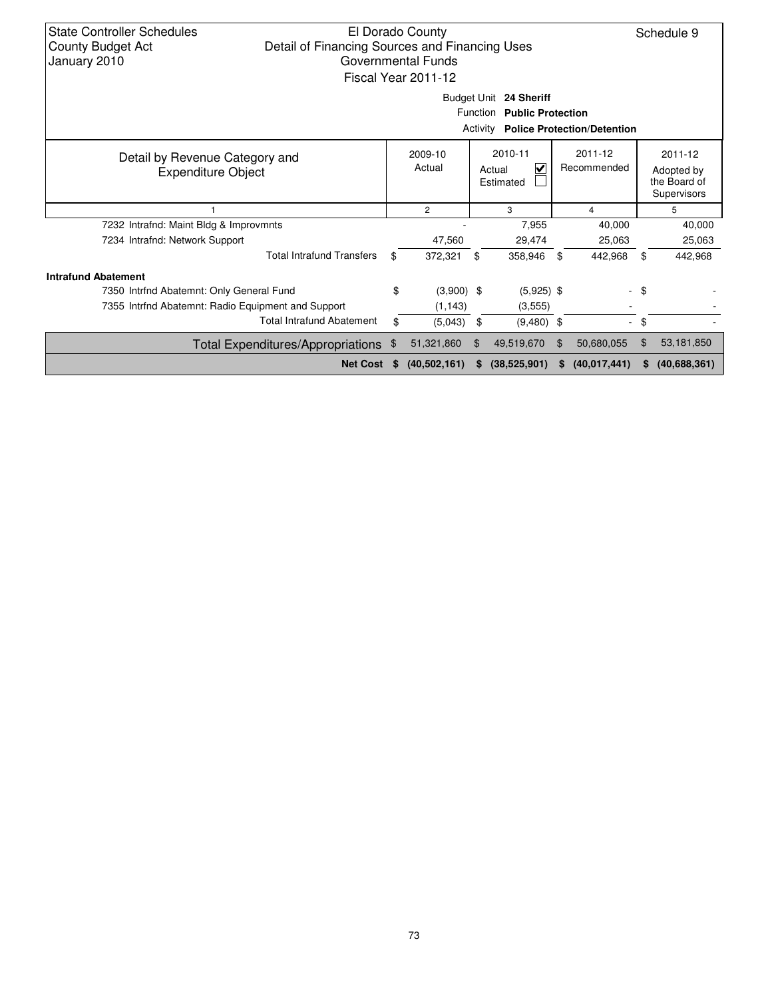| <b>State Controller Schedules</b><br><b>County Budget Act</b><br>January 2010                                                                     | El Dorado County<br>Schedule 9<br>Detail of Financing Sources and Financing Uses<br>Governmental Funds<br>Fiscal Year 2011-12<br>Budget Unit 24 Sheriff<br>Function<br><b>Public Protection</b><br>Activity<br><b>Police Protection/Detention</b> |          |                |     |              |    |                |                                                      |              |  |
|---------------------------------------------------------------------------------------------------------------------------------------------------|---------------------------------------------------------------------------------------------------------------------------------------------------------------------------------------------------------------------------------------------------|----------|----------------|-----|--------------|----|----------------|------------------------------------------------------|--------------|--|
| 2010-11<br>2011-12<br>2009-10<br>Detail by Revenue Category and<br>Actual<br>V<br>Recommended<br>Actual<br><b>Expenditure Object</b><br>Estimated |                                                                                                                                                                                                                                                   |          |                |     |              |    |                | 2011-12<br>Adopted by<br>the Board of<br>Supervisors |              |  |
|                                                                                                                                                   |                                                                                                                                                                                                                                                   |          | $\overline{2}$ |     | 3            |    | 4              |                                                      | 5            |  |
| 7232 Intrafnd: Maint Bldg & Improvmnts                                                                                                            |                                                                                                                                                                                                                                                   |          |                |     | 7.955        |    | 40,000         |                                                      | 40,000       |  |
| 7234 Intrafnd: Network Support                                                                                                                    |                                                                                                                                                                                                                                                   |          | 47,560         |     | 29,474       |    | 25,063         |                                                      | 25,063       |  |
|                                                                                                                                                   | <b>Total Intrafund Transfers</b>                                                                                                                                                                                                                  | \$       | 372.321        | \$  | 358,946      | \$ | 442,968        | \$                                                   | 442,968      |  |
| <b>Intrafund Abatement</b>                                                                                                                        |                                                                                                                                                                                                                                                   |          |                |     |              |    |                |                                                      |              |  |
| 7350 Intrfnd Abatemnt: Only General Fund                                                                                                          |                                                                                                                                                                                                                                                   | \$       | $(3,900)$ \$   |     | $(5,925)$ \$ |    |                | - \$                                                 |              |  |
| 7355 Intrind Abatemnt: Radio Equipment and Support                                                                                                |                                                                                                                                                                                                                                                   |          | (1, 143)       |     | (3,555)      |    |                |                                                      |              |  |
|                                                                                                                                                   | <b>Total Intrafund Abatement</b>                                                                                                                                                                                                                  | \$       | (5,043)        | \$  | $(9,480)$ \$ |    |                | - \$                                                 |              |  |
|                                                                                                                                                   | <b>Total Expenditures/Appropriations</b>                                                                                                                                                                                                          | \$       | 51,321,860     | \$  | 49,519,670   | \$ | 50,680,055     | \$                                                   | 53,181,850   |  |
|                                                                                                                                                   | <b>Net Cost</b>                                                                                                                                                                                                                                   | <b>S</b> | (40, 502, 161) | SS. | (38,525,901) | S. | (40, 017, 441) | S                                                    | (40,688,361) |  |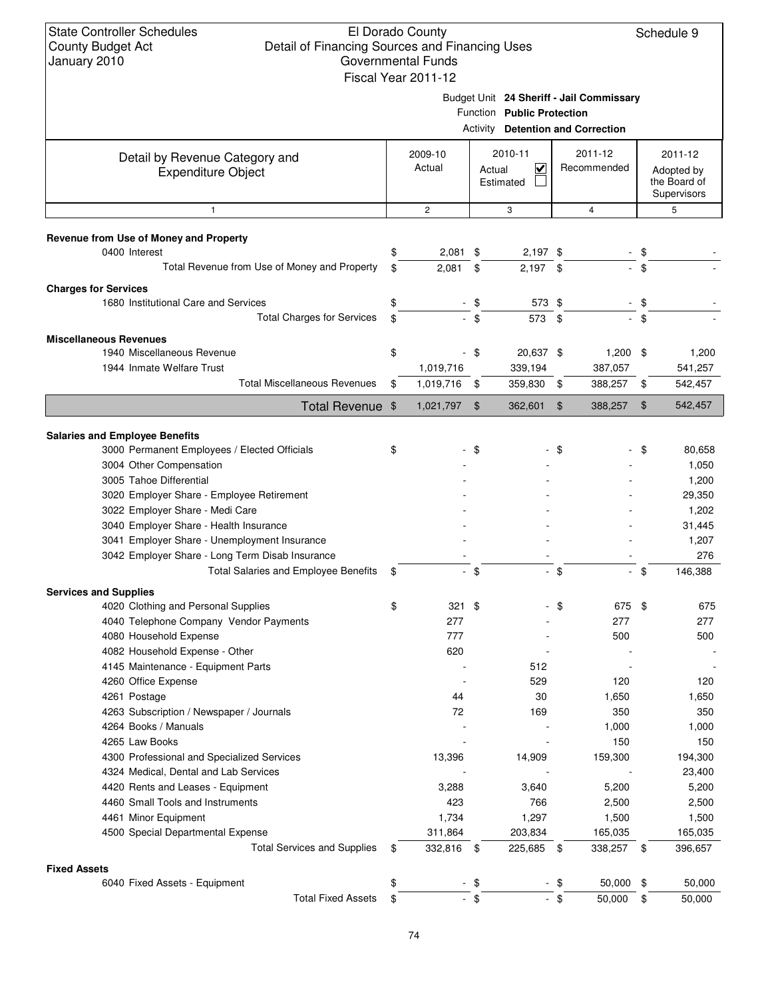### El Dorado County Detail of Financing Sources and Financing Uses Governmental Funds Fiscal Year 2011-12

Schedule 9

Budget Unit **24 Sheriff - Jail Commissary**

|                                                                     |                      |                | <b>Activity</b> Detention and Correction       |      |                          |               |                                           |
|---------------------------------------------------------------------|----------------------|----------------|------------------------------------------------|------|--------------------------|---------------|-------------------------------------------|
| Detail by Revenue Category and                                      | 2009-10              |                | 2010-11                                        |      | 2011-12                  |               | 2011-12                                   |
| <b>Expenditure Object</b>                                           | Actual               |                | $\overline{\mathbf{v}}$<br>Actual<br>Estimated |      | Recommended              |               | Adopted by<br>the Board of<br>Supervisors |
| $\mathbf{1}$                                                        | $\overline{2}$       |                | 3                                              |      | $\overline{4}$           |               | 5                                         |
|                                                                     |                      |                |                                                |      |                          |               |                                           |
| Revenue from Use of Money and Property<br>0400 Interest             | \$<br>2,081          | \$             | $2,197$ \$                                     |      |                          | \$            |                                           |
| Total Revenue from Use of Money and Property                        | \$<br>2,081          | \$             | $2,197$ \$                                     |      |                          | \$            |                                           |
|                                                                     |                      |                |                                                |      |                          |               |                                           |
| <b>Charges for Services</b><br>1680 Institutional Care and Services | \$                   | \$             | 573 \$                                         |      |                          | \$            |                                           |
| <b>Total Charges for Services</b>                                   | \$                   | \$             | 573 \$                                         |      |                          | \$            |                                           |
|                                                                     |                      |                |                                                |      |                          |               |                                           |
| <b>Miscellaneous Revenues</b>                                       |                      |                |                                                |      |                          |               |                                           |
| 1940 Miscellaneous Revenue                                          | \$                   | \$             | 20,637 \$                                      |      | 1,200                    | \$            | 1,200                                     |
| 1944 Inmate Welfare Trust                                           | 1,019,716            |                | 339,194                                        |      | 387,057                  |               | 541,257                                   |
| <b>Total Miscellaneous Revenues</b>                                 | \$<br>1,019,716      | \$             | 359,830                                        | \$   | 388,257                  | \$            | 542,457                                   |
| Total Revenue \$                                                    | 1,021,797            | $\mathfrak{F}$ | 362,601                                        | \$   | 388,257                  | $\frac{1}{2}$ | 542,457                                   |
| <b>Salaries and Employee Benefits</b>                               |                      |                |                                                |      |                          |               |                                           |
| 3000 Permanent Employees / Elected Officials                        | \$                   | \$             |                                                | \$   |                          | \$            | 80,658                                    |
| 3004 Other Compensation                                             |                      |                |                                                |      |                          |               | 1,050                                     |
| 3005 Tahoe Differential                                             |                      |                |                                                |      |                          |               | 1,200                                     |
| 3020 Employer Share - Employee Retirement                           |                      |                |                                                |      |                          |               | 29,350                                    |
| 3022 Employer Share - Medi Care                                     |                      |                |                                                |      |                          |               | 1,202                                     |
| 3040 Employer Share - Health Insurance                              |                      |                |                                                |      |                          |               | 31,445                                    |
| 3041 Employer Share - Unemployment Insurance                        |                      |                |                                                |      |                          |               | 1,207                                     |
| 3042 Employer Share - Long Term Disab Insurance                     |                      |                |                                                |      |                          |               | 276                                       |
| <b>Total Salaries and Employee Benefits</b>                         | \$<br>$\blacksquare$ | \$             |                                                | \$   | $\overline{\phantom{a}}$ | \$            | 146,388                                   |
| <b>Services and Supplies</b>                                        |                      |                |                                                |      |                          |               |                                           |
| 4020 Clothing and Personal Supplies                                 | \$<br>321            | \$             |                                                | \$   | 675                      | \$            | 675                                       |
| 4040 Telephone Company Vendor Payments                              | 277                  |                |                                                |      | 277                      |               | 277                                       |
| 4080 Household Expense                                              | 777                  |                |                                                |      | 500                      |               | 500                                       |
| 4082 Household Expense - Other                                      | 620                  |                |                                                |      |                          |               |                                           |
| 4145 Maintenance - Equipment Parts                                  |                      |                | 512                                            |      |                          |               |                                           |
| 4260 Office Expense                                                 |                      |                | 529                                            |      | 120                      |               | 120                                       |
| 4261 Postage                                                        | 44                   |                | 30                                             |      | 1,650                    |               | 1,650                                     |
| 4263 Subscription / Newspaper / Journals                            | 72                   |                | 169                                            |      | 350                      |               | 350                                       |
| 4264 Books / Manuals                                                |                      |                |                                                |      | 1,000                    |               | 1,000                                     |
| 4265 Law Books                                                      |                      |                |                                                |      | 150                      |               | 150                                       |
| 4300 Professional and Specialized Services                          | 13,396               |                | 14,909                                         |      | 159,300                  |               | 194,300                                   |
| 4324 Medical, Dental and Lab Services                               |                      |                |                                                |      |                          |               | 23,400                                    |
| 4420 Rents and Leases - Equipment                                   | 3,288                |                | 3,640                                          |      | 5,200                    |               | 5,200                                     |
| 4460 Small Tools and Instruments                                    | 423                  |                | 766                                            |      | 2,500                    |               | 2,500                                     |
| 4461 Minor Equipment                                                | 1,734                |                | 1,297                                          |      | 1,500                    |               | 1,500                                     |
| 4500 Special Departmental Expense                                   | 311,864              |                | 203,834                                        |      | 165,035                  |               | 165,035                                   |
| <b>Total Services and Supplies</b>                                  | \$<br>332,816        | \$             | 225,685 \$                                     |      | 338,257                  | \$            | 396,657                                   |
| <b>Fixed Assets</b>                                                 |                      |                |                                                |      |                          |               |                                           |
| 6040 Fixed Assets - Equipment<br><b>Total Fixed Assets</b>          | \$                   | \$             |                                                | - \$ | 50,000                   | \$            | 50,000                                    |
|                                                                     | \$                   | $-$ \$         |                                                | - \$ | 50,000                   | \$            | 50,000                                    |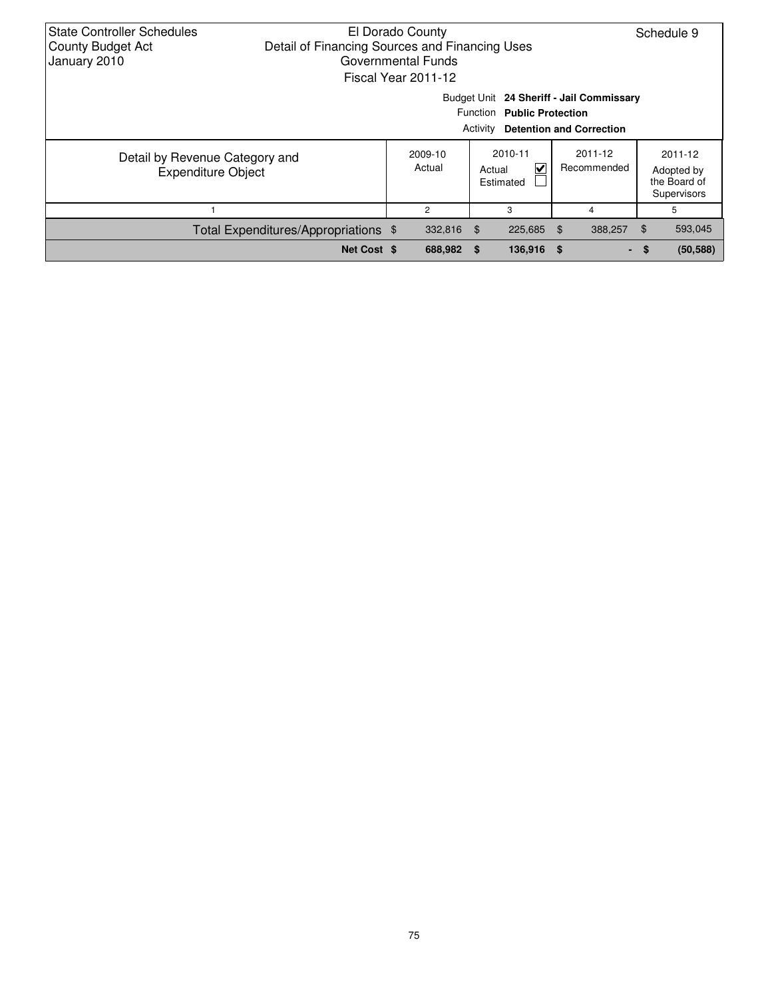| <b>State Controller Schedules</b><br>El Dorado County<br>Detail of Financing Sources and Financing Uses<br><b>County Budget Act</b><br>January 2010<br>Governmental Funds<br>Fiscal Year 2011-12 |                                      |  |                   |        |                                                                                                                    |  |                        |     |                                                      |  |  |
|--------------------------------------------------------------------------------------------------------------------------------------------------------------------------------------------------|--------------------------------------|--|-------------------|--------|--------------------------------------------------------------------------------------------------------------------|--|------------------------|-----|------------------------------------------------------|--|--|
|                                                                                                                                                                                                  |                                      |  |                   |        | Budget Unit 24 Sheriff - Jail Commissary<br>Function Public Protection<br><b>Activity Detention and Correction</b> |  |                        |     |                                                      |  |  |
| Detail by Revenue Category and<br><b>Expenditure Object</b>                                                                                                                                      |                                      |  | 2009-10<br>Actual | Actual | 2010-11<br>V<br>Estimated                                                                                          |  | 2011-12<br>Recommended |     | 2011-12<br>Adopted by<br>the Board of<br>Supervisors |  |  |
|                                                                                                                                                                                                  |                                      |  | 2                 |        | 3                                                                                                                  |  | 4                      |     | 5                                                    |  |  |
|                                                                                                                                                                                                  | Total Expenditures/Appropriations \$ |  | 332,816           | - \$   | 225,685 \$                                                                                                         |  | 388,257                | \$  | 593,045                                              |  |  |
|                                                                                                                                                                                                  | Net Cost \$                          |  | 688,982           | - \$   | 136,916 \$                                                                                                         |  |                        | - S | (50, 588)                                            |  |  |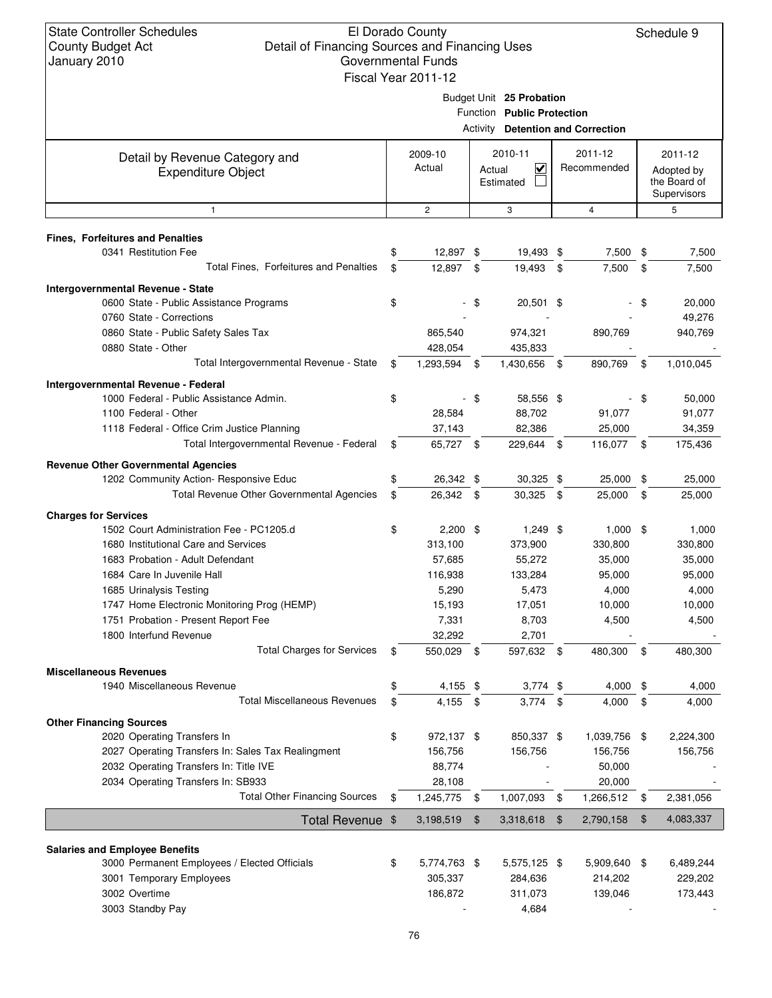|                                                               | Fiscal Year 2011-12        |      |                                          |               |                |                 |
|---------------------------------------------------------------|----------------------------|------|------------------------------------------|---------------|----------------|-----------------|
|                                                               |                            |      | Budget Unit 25 Probation                 |               |                |                 |
|                                                               |                            |      | Function Public Protection               |               |                |                 |
|                                                               |                            |      | <b>Activity Detention and Correction</b> |               |                |                 |
| Detail by Revenue Category and                                | 2009-10                    |      | 2010-11                                  |               | 2011-12        | 2011-12         |
| <b>Expenditure Object</b>                                     | Actual                     |      | $\overline{\mathbf{v}}$<br>Actual        |               | Recommended    | Adopted by      |
|                                                               |                            |      | Estimated                                |               |                | the Board of    |
| 1                                                             | $\overline{2}$             |      | 3                                        |               | $\overline{4}$ | Supervisors     |
|                                                               |                            |      |                                          |               |                | 5               |
| <b>Fines, Forfeitures and Penalties</b>                       |                            |      |                                          |               |                |                 |
| 0341 Restitution Fee                                          | \$<br>12,897 \$            |      | 19,493 \$                                |               | 7,500 \$       | 7,500           |
| Total Fines, Forfeitures and Penalties                        | \$<br>12,897 \$            |      | 19,493 \$                                |               | 7,500          | \$<br>7,500     |
| Intergovernmental Revenue - State                             |                            |      |                                          |               |                |                 |
| 0600 State - Public Assistance Programs                       | \$                         | \$   | 20,501 \$                                |               |                | \$<br>20,000    |
| 0760 State - Corrections                                      |                            |      |                                          |               |                | 49,276          |
| 0860 State - Public Safety Sales Tax                          | 865,540                    |      | 974,321                                  |               | 890,769        | 940,769         |
| 0880 State - Other                                            | 428,054                    |      | 435,833                                  |               |                |                 |
| Total Intergovernmental Revenue - State                       | \$<br>1,293,594            | \$   | 1,430,656 \$                             |               | 890,769        | \$<br>1,010,045 |
| Intergovernmental Revenue - Federal                           |                            |      |                                          |               |                |                 |
| 1000 Federal - Public Assistance Admin.                       | \$                         | \$   | 58,556 \$                                |               |                | \$<br>50,000    |
| 1100 Federal - Other                                          | 28,584                     |      | 88,702                                   |               | 91,077         | 91,077          |
| 1118 Federal - Office Crim Justice Planning                   | 37,143                     |      | 82,386                                   |               | 25,000         | 34,359          |
| Total Intergovernmental Revenue - Federal                     | \$<br>65,727 \$            |      | 229,644 \$                               |               | 116,077 \$     | 175,436         |
| <b>Revenue Other Governmental Agencies</b>                    |                            |      |                                          |               |                |                 |
| 1202 Community Action- Responsive Educ                        | \$<br>26,342 \$            |      | $30,325$ \$                              |               | 25,000         | \$<br>25,000    |
| Total Revenue Other Governmental Agencies                     | \$<br>26,342 \$            |      | $30,325$ \$                              |               | 25,000         | \$<br>25,000    |
| <b>Charges for Services</b>                                   |                            |      |                                          |               |                |                 |
| 1502 Court Administration Fee - PC1205.d                      | \$<br>$2,200$ \$           |      | $1,249$ \$                               |               | $1,000$ \$     | 1,000           |
| 1680 Institutional Care and Services                          | 313,100                    |      | 373,900                                  |               | 330,800        | 330,800         |
| 1683 Probation - Adult Defendant                              | 57,685                     |      | 55,272                                   |               | 35,000         | 35,000          |
| 1684 Care In Juvenile Hall                                    | 116,938                    |      | 133,284                                  |               | 95,000         | 95,000          |
| 1685 Urinalysis Testing                                       | 5,290                      |      | 5,473                                    |               | 4,000          | 4,000           |
| 1747 Home Electronic Monitoring Prog (HEMP)                   | 15,193                     |      | 17,051                                   |               | 10,000         | 10,000          |
| 1751 Probation - Present Report Fee                           | 7,331                      |      | 8,703                                    |               | 4,500          | 4,500           |
| 1800 Interfund Revenue<br><b>Total Charges for Services</b>   | \$<br>32,292<br>550,029 \$ |      | 2,701<br>597,632 \$                      |               | 480,300        | \$<br>480,300   |
|                                                               |                            |      |                                          |               |                |                 |
| <b>Miscellaneous Revenues</b><br>1940 Miscellaneous Revenue   | \$<br>4,155 \$             |      | $3,774$ \$                               |               | 4,000          | \$<br>4,000     |
| <b>Total Miscellaneous Revenues</b>                           | \$<br>4,155                | - \$ | 3,774                                    | $\mathbf{\$}$ | 4,000          | \$<br>4,000     |
|                                                               |                            |      |                                          |               |                |                 |
| <b>Other Financing Sources</b><br>2020 Operating Transfers In | \$<br>972,137 \$           |      | 850,337 \$                               |               | 1,039,756      | \$<br>2,224,300 |
| 2027 Operating Transfers In: Sales Tax Realingment            | 156,756                    |      | 156,756                                  |               | 156,756        | 156,756         |
| 2032 Operating Transfers In: Title IVE                        | 88,774                     |      |                                          |               | 50,000         |                 |
| 2034 Operating Transfers In: SB933                            | 28,108                     |      |                                          |               | 20,000         |                 |
| <b>Total Other Financing Sources</b>                          | \$<br>1,245,775            | -\$  | 1,007,093                                | \$            | 1,266,512      | \$<br>2,381,056 |
| Total Revenue \$                                              | 3,198,519                  | \$   | 3,318,618                                | $\sqrt[6]{3}$ | 2,790,158      | \$<br>4,083,337 |
|                                                               |                            |      |                                          |               |                |                 |
| <b>Salaries and Employee Benefits</b>                         |                            |      |                                          |               |                |                 |
| 3000 Permanent Employees / Elected Officials                  | \$<br>5,774,763 \$         |      | 5,575,125 \$                             |               | 5,909,640      | \$<br>6,489,244 |
| 3001 Temporary Employees                                      | 305,337                    |      | 284,636                                  |               | 214,202        | 229,202         |
| 3002 Overtime                                                 | 186,872                    |      | 311,073                                  |               | 139,046        | 173,443         |
| 3003 Standby Pay                                              |                            |      | 4,684                                    |               |                |                 |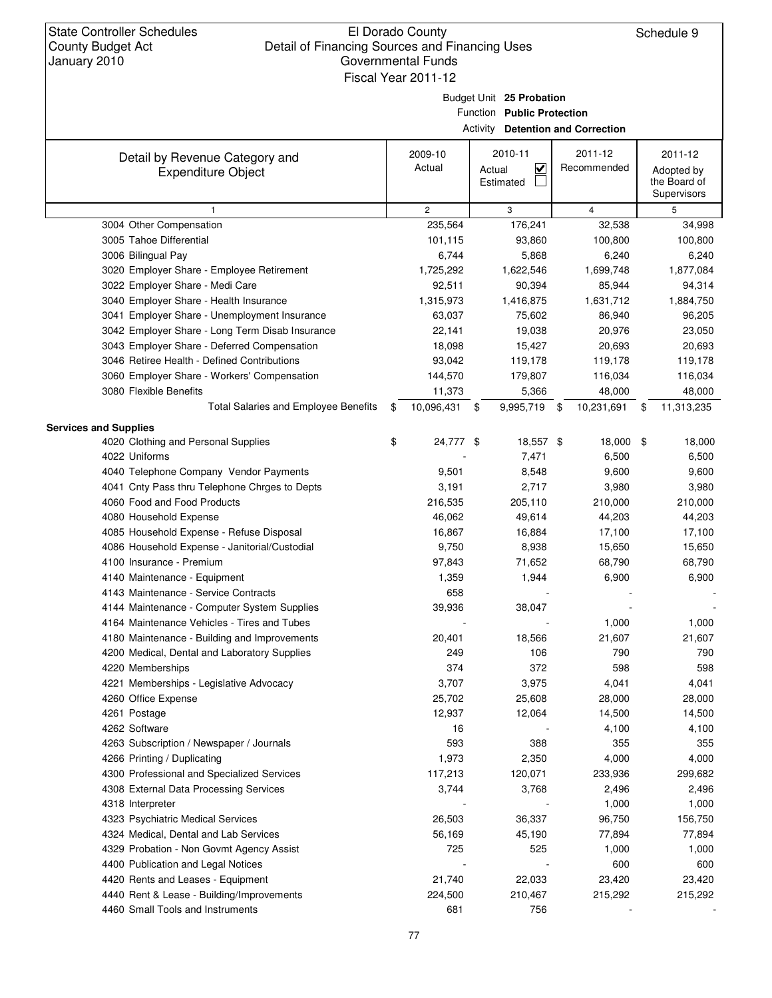### El Dorado County Detail of Financing Sources and Financing Uses Governmental Funds Fiscal Year 2011-12

Schedule 9

Budget Unit **25 Probation**

Function **Public Protection**

**Detention and Correction**

|                                                             |                   | <b>Activity Detention and Correction</b>                  |                        |                                                      |
|-------------------------------------------------------------|-------------------|-----------------------------------------------------------|------------------------|------------------------------------------------------|
| Detail by Revenue Category and<br><b>Expenditure Object</b> | 2009-10<br>Actual | 2010-11<br>$\overline{\mathbf{v}}$<br>Actual<br>Estimated | 2011-12<br>Recommended | 2011-12<br>Adopted by<br>the Board of<br>Supervisors |
|                                                             | $\overline{c}$    | 3                                                         | $\overline{4}$         | 5                                                    |
| 3004 Other Compensation                                     | 235,564           | 176,241                                                   | 32,538                 | 34,998                                               |
| 3005 Tahoe Differential                                     | 101,115           | 93,860                                                    | 100,800                | 100,800                                              |
| 3006 Bilingual Pay                                          | 6,744             | 5,868                                                     | 6,240                  | 6,240                                                |
| 3020 Employer Share - Employee Retirement                   | 1,725,292         | 1,622,546                                                 | 1,699,748              | 1,877,084                                            |
| 3022 Employer Share - Medi Care                             | 92,511            | 90,394                                                    | 85,944                 | 94,314                                               |
| 3040 Employer Share - Health Insurance                      | 1,315,973         | 1,416,875                                                 | 1,631,712              | 1,884,750                                            |
| 3041 Employer Share - Unemployment Insurance                | 63,037            | 75,602                                                    | 86,940                 | 96,205                                               |
| 3042 Employer Share - Long Term Disab Insurance             | 22,141            | 19,038                                                    | 20,976                 | 23,050                                               |
| 3043 Employer Share - Deferred Compensation                 | 18,098            | 15,427                                                    | 20,693                 | 20,693                                               |
| 3046 Retiree Health - Defined Contributions                 | 93,042            | 119,178                                                   | 119,178                | 119,178                                              |
| 3060 Employer Share - Workers' Compensation                 | 144,570           | 179,807                                                   | 116,034                | 116,034                                              |
| 3080 Flexible Benefits                                      | 11,373            | 5,366                                                     | 48,000                 | 48,000                                               |
| Total Salaries and Employee Benefits                        | \$<br>10,096,431  | 9,995,719 \$<br>$\mathfrak s$                             | 10,231,691             | \$<br>11,313,235                                     |
| <b>Services and Supplies</b>                                |                   |                                                           |                        |                                                      |
| 4020 Clothing and Personal Supplies                         | \$<br>24,777 \$   | 18,557 \$                                                 | 18,000 \$              | 18,000                                               |
| 4022 Uniforms                                               |                   | 7,471                                                     | 6,500                  | 6,500                                                |
| 4040 Telephone Company Vendor Payments                      | 9,501             | 8,548                                                     | 9,600                  | 9,600                                                |
| 4041 Cnty Pass thru Telephone Chrges to Depts               | 3,191             | 2,717                                                     | 3,980                  | 3,980                                                |
| 4060 Food and Food Products                                 | 216,535           | 205,110                                                   | 210,000                | 210,000                                              |
| 4080 Household Expense                                      | 46,062            | 49,614                                                    | 44,203                 | 44,203                                               |
| 4085 Household Expense - Refuse Disposal                    | 16,867            | 16,884                                                    | 17,100                 | 17,100                                               |
| 4086 Household Expense - Janitorial/Custodial               | 9,750             | 8,938                                                     | 15,650                 | 15,650                                               |
| 4100 Insurance - Premium                                    | 97,843            | 71,652                                                    | 68,790                 | 68,790                                               |
| 4140 Maintenance - Equipment                                | 1,359             | 1,944                                                     | 6,900                  | 6,900                                                |
| 4143 Maintenance - Service Contracts                        | 658               |                                                           |                        |                                                      |
| 4144 Maintenance - Computer System Supplies                 | 39,936            | 38,047                                                    |                        |                                                      |
| 4164 Maintenance Vehicles - Tires and Tubes                 |                   |                                                           | 1,000                  | 1,000                                                |
| 4180 Maintenance - Building and Improvements                | 20,401            | 18,566                                                    | 21,607                 | 21,607                                               |
| 4200 Medical, Dental and Laboratory Supplies                | 249               | 106                                                       | 790                    | 790                                                  |
| 4220 Memberships                                            | 374               | 372                                                       | 598                    | 598                                                  |
| 4221 Memberships - Legislative Advocacy                     | 3,707             | 3,975                                                     | 4,041                  | 4,041                                                |
| 4260 Office Expense                                         | 25,702            | 25,608                                                    | 28,000                 | 28,000                                               |
| 4261 Postage                                                | 12,937            | 12,064                                                    | 14,500                 | 14,500                                               |
| 4262 Software                                               | 16                |                                                           | 4,100                  | 4,100                                                |
| 4263 Subscription / Newspaper / Journals                    | 593               | 388                                                       | 355                    | 355                                                  |
| 4266 Printing / Duplicating                                 | 1,973             | 2,350                                                     | 4,000                  | 4,000                                                |
| 4300 Professional and Specialized Services                  | 117,213           | 120,071                                                   | 233,936                | 299,682                                              |
| 4308 External Data Processing Services                      | 3,744             | 3,768                                                     | 2,496                  | 2,496                                                |
| 4318 Interpreter                                            |                   |                                                           | 1,000                  | 1,000                                                |
| 4323 Psychiatric Medical Services                           | 26,503            | 36,337                                                    | 96,750                 | 156,750                                              |
| 4324 Medical, Dental and Lab Services                       | 56,169            | 45,190                                                    | 77,894                 | 77,894                                               |
| 4329 Probation - Non Govmt Agency Assist                    | 725               | 525                                                       | 1,000                  | 1,000                                                |
| 4400 Publication and Legal Notices                          |                   |                                                           | 600                    | 600                                                  |
| 4420 Rents and Leases - Equipment                           | 21,740            | 22,033                                                    | 23,420                 | 23,420                                               |
| 4440 Rent & Lease - Building/Improvements                   | 224,500           | 210,467                                                   | 215,292                | 215,292                                              |
| 4460 Small Tools and Instruments                            | 681               | 756                                                       |                        |                                                      |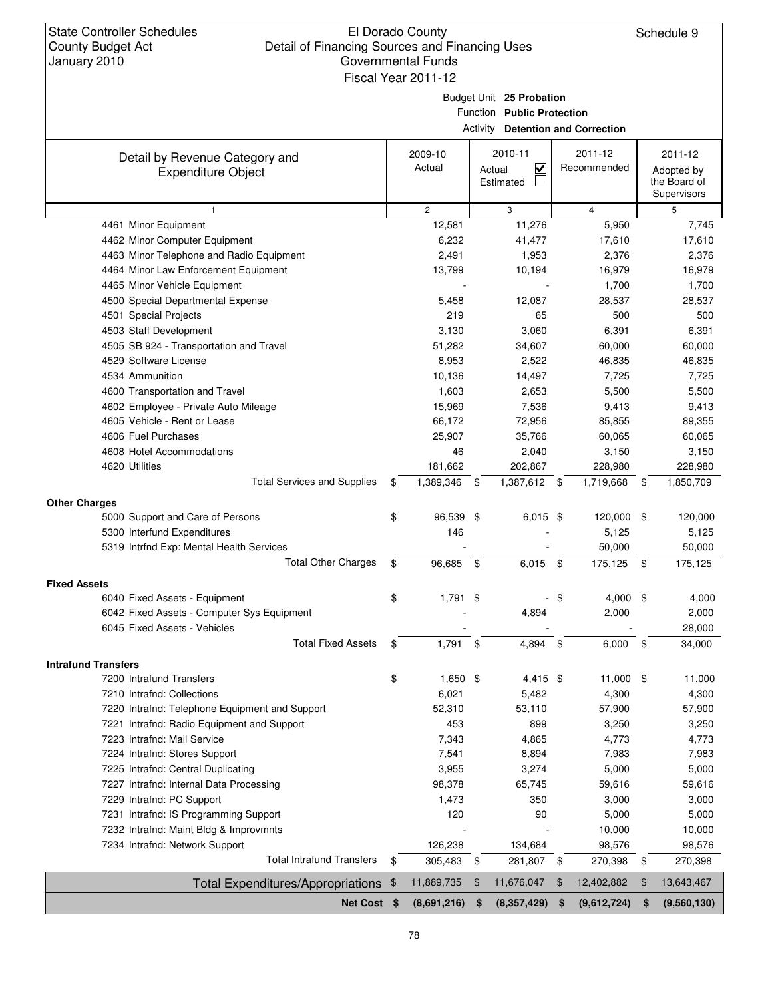### El Dorado County Detail of Financing Sources and Financing Uses Governmental Funds Fiscal Year 2011-12

Schedule 9

Budget Unit **25 Probation**

Function **Public Protection**

Activity **Detention and Correction**

|                                                                      |                  | <b>ACTIVITY Detention and Correction</b> |                  |                  |
|----------------------------------------------------------------------|------------------|------------------------------------------|------------------|------------------|
| Detail by Revenue Category and                                       | 2009-10          | 2010-11                                  | 2011-12          | 2011-12          |
| <b>Expenditure Object</b>                                            | Actual           | $\checkmark$<br>Actual                   | Recommended      | Adopted by       |
|                                                                      |                  | Estimated                                |                  | the Board of     |
|                                                                      |                  |                                          |                  | Supervisors      |
| $\mathbf{1}$                                                         | $\mathbf{2}$     | 3                                        | $\overline{4}$   | 5                |
| 4461 Minor Equipment                                                 | 12,581           | 11,276                                   | 5,950            | 7,745            |
| 4462 Minor Computer Equipment                                        | 6,232            | 41,477                                   | 17,610           | 17,610           |
| 4463 Minor Telephone and Radio Equipment                             | 2,491            | 1,953                                    | 2,376            | 2,376            |
| 4464 Minor Law Enforcement Equipment                                 | 13,799           | 10,194                                   | 16,979           | 16,979           |
| 4465 Minor Vehicle Equipment                                         |                  | 12,087                                   | 1,700<br>28,537  | 1,700            |
| 4500 Special Departmental Expense                                    | 5,458<br>219     |                                          | 500              | 28,537<br>500    |
| 4501 Special Projects<br>4503 Staff Development                      | 3,130            | 65<br>3,060                              | 6,391            |                  |
| 4505 SB 924 - Transportation and Travel                              | 51,282           | 34,607                                   | 60,000           | 6,391<br>60,000  |
| 4529 Software License                                                | 8,953            | 2,522                                    | 46,835           | 46,835           |
| 4534 Ammunition                                                      | 10,136           |                                          | 7,725            | 7,725            |
|                                                                      |                  | 14,497                                   |                  |                  |
| 4600 Transportation and Travel                                       | 1,603            | 2,653                                    | 5,500            | 5,500            |
| 4602 Employee - Private Auto Mileage<br>4605 Vehicle - Rent or Lease | 15,969<br>66,172 | 7,536<br>72,956                          | 9,413<br>85,855  | 9,413            |
| 4606 Fuel Purchases                                                  |                  |                                          |                  | 89,355           |
|                                                                      | 25,907           | 35,766                                   | 60,065           | 60,065           |
| 4608 Hotel Accommodations<br>4620 Utilities                          | 46               | 2,040                                    | 3,150            | 3,150            |
|                                                                      | 181,662          | 202,867                                  | 228,980          | 228,980          |
| <b>Total Services and Supplies</b>                                   | \$<br>1,389,346  | 1,387,612 \$<br>-\$                      | 1,719,668        | \$<br>1,850,709  |
| <b>Other Charges</b>                                                 |                  |                                          |                  |                  |
| 5000 Support and Care of Persons                                     | \$<br>96,539 \$  | $6,015$ \$                               | 120,000          | \$<br>120,000    |
| 5300 Interfund Expenditures                                          | 146              |                                          | 5,125            | 5,125            |
| 5319 Intrfnd Exp: Mental Health Services                             |                  |                                          | 50,000           | 50,000           |
| <b>Total Other Charges</b>                                           | \$<br>96,685     | 6,015<br>\$                              | \$<br>175,125    | \$<br>175,125    |
| <b>Fixed Assets</b>                                                  |                  |                                          |                  |                  |
| 6040 Fixed Assets - Equipment                                        | \$<br>$1,791$ \$ | н.                                       | \$<br>4,000      | \$<br>4,000      |
| 6042 Fixed Assets - Computer Sys Equipment                           |                  | 4,894                                    | 2,000            | 2,000            |
| 6045 Fixed Assets - Vehicles                                         |                  |                                          |                  | 28,000           |
| <b>Total Fixed Assets</b>                                            | \$<br>$1,791$ \$ | 4,894                                    | \$<br>6,000      | \$<br>34,000     |
| <b>Intrafund Transfers</b>                                           |                  |                                          |                  |                  |
| 7200 Intrafund Transfers                                             | \$<br>$1,650$ \$ | 4,415 \$                                 | 11,000 \$        | 11,000           |
| 7210 Intrafnd: Collections                                           | 6,021            | 5,482                                    | 4,300            | 4,300            |
| 7220 Intrafnd: Telephone Equipment and Support                       | 52,310           | 53,110                                   | 57,900           | 57,900           |
| 7221 Intrafnd: Radio Equipment and Support                           | 453              | 899                                      | 3,250            | 3,250            |
| 7223 Intrafnd: Mail Service                                          | 7,343            | 4,865                                    | 4,773            | 4,773            |
| 7224 Intrafnd: Stores Support                                        | 7,541            | 8,894                                    | 7,983            | 7,983            |
| 7225 Intrafnd: Central Duplicating                                   | 3,955            | 3,274                                    | 5,000            | 5,000            |
| 7227 Intrafnd: Internal Data Processing                              | 98,378           | 65,745                                   | 59,616           | 59,616           |
| 7229 Intrafnd: PC Support                                            | 1,473            | 350                                      | 3,000            | 3,000            |
| 7231 Intrafnd: IS Programming Support                                | 120              | 90                                       | 5,000            | 5,000            |
| 7232 Intrafnd: Maint Bldg & Improvmnts                               |                  |                                          | 10,000           | 10,000           |
| 7234 Intrafnd: Network Support                                       | 126,238          | 134,684                                  | 98,576           | 98,576           |
| <b>Total Intrafund Transfers</b>                                     | \$<br>305,483    | 281,807 \$<br>- \$                       | 270,398          | \$<br>270,398    |
| Total Expenditures/Appropriations \$                                 | 11,889,735       | 11,676,047<br>$\sqrt[6]{3}$              | \$<br>12,402,882 | \$<br>13,643,467 |
| Net Cost \$                                                          |                  | \$                                       | \$               | \$               |
|                                                                      | (8,691,216)      | (8,357,429)                              | (9,612,724)      | (9,560,130)      |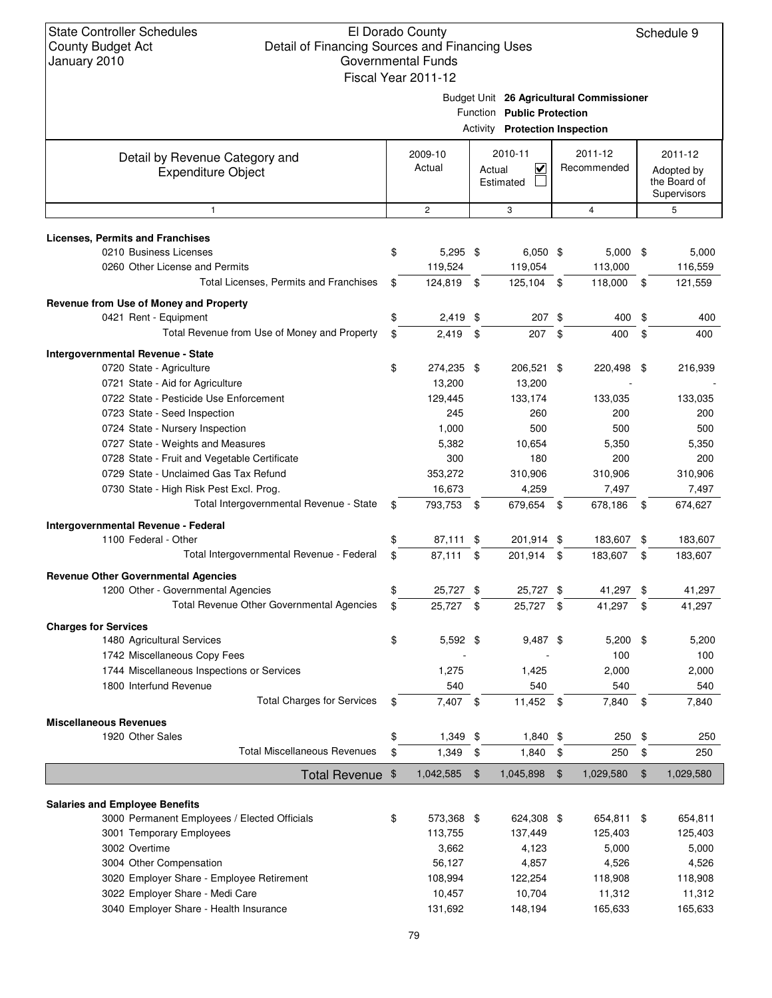Schedule 9

Budget Unit **26 Agricultural Commissioner**

|                                                                                    |               |                   | <b>FUNICIION PUBLIC Protection</b><br>Activity Protection Inspection |     |                        |                                                      |
|------------------------------------------------------------------------------------|---------------|-------------------|----------------------------------------------------------------------|-----|------------------------|------------------------------------------------------|
|                                                                                    |               |                   |                                                                      |     |                        |                                                      |
| Detail by Revenue Category and<br><b>Expenditure Object</b>                        |               | 2009-10<br>Actual | 2010-11<br>$\checkmark$<br>Actual<br>Estimated                       |     | 2011-12<br>Recommended | 2011-12<br>Adopted by<br>the Board of<br>Supervisors |
| $\mathbf{1}$                                                                       |               | $\mathbf{2}$      | 3                                                                    |     | $\overline{4}$         | 5                                                    |
| <b>Licenses, Permits and Franchises</b>                                            |               |                   |                                                                      |     |                        |                                                      |
| 0210 Business Licenses                                                             | \$            | $5,295$ \$        | $6,050$ \$                                                           |     | $5,000$ \$             | 5,000                                                |
| 0260 Other License and Permits                                                     |               | 119,524           | 119,054                                                              |     | 113,000                | 116,559                                              |
| Total Licenses, Permits and Franchises                                             | \$            | 124,819 \$        | 125,104 \$                                                           |     | 118,000 \$             | 121,559                                              |
| Revenue from Use of Money and Property                                             |               |                   |                                                                      |     |                        |                                                      |
| 0421 Rent - Equipment                                                              | \$            | 2,419             | \$<br>207S                                                           |     | 400                    | \$<br>400                                            |
| Total Revenue from Use of Money and Property                                       | \$            | 2,419             | \$<br>207 \$                                                         |     | 400                    | \$<br>400                                            |
| Intergovernmental Revenue - State                                                  |               |                   |                                                                      |     |                        |                                                      |
| 0720 State - Agriculture                                                           | \$            | 274,235 \$        | 206,521 \$                                                           |     | 220,498 \$             | 216,939                                              |
| 0721 State - Aid for Agriculture                                                   |               | 13,200            | 13,200                                                               |     |                        |                                                      |
| 0722 State - Pesticide Use Enforcement                                             |               | 129,445           | 133,174                                                              |     | 133,035                | 133,035                                              |
| 0723 State - Seed Inspection                                                       |               | 245               | 260                                                                  |     | 200                    | 200                                                  |
| 0724 State - Nursery Inspection                                                    |               | 1,000             | 500                                                                  |     | 500                    | 500                                                  |
| 0727 State - Weights and Measures                                                  |               | 5,382             | 10,654                                                               |     | 5,350                  | 5,350                                                |
| 0728 State - Fruit and Vegetable Certificate                                       |               | 300               | 180                                                                  |     | 200                    | 200                                                  |
| 0729 State - Unclaimed Gas Tax Refund                                              |               | 353,272           | 310,906                                                              |     | 310,906                | 310,906                                              |
| 0730 State - High Risk Pest Excl. Prog.<br>Total Intergovernmental Revenue - State |               | 16,673            | 4,259                                                                |     | 7,497                  | 7,497                                                |
|                                                                                    | \$            | 793,753 \$        | 679,654                                                              | -\$ | 678,186                | \$<br>674,627                                        |
| Intergovernmental Revenue - Federal                                                |               |                   |                                                                      |     |                        |                                                      |
| 1100 Federal - Other                                                               | \$            | 87,111 \$         | 201,914 \$                                                           |     | 183,607 \$             | 183,607                                              |
| Total Intergovernmental Revenue - Federal                                          | \$            | 87,111            | \$<br>201,914                                                        | \$  | 183,607                | \$<br>183,607                                        |
| <b>Revenue Other Governmental Agencies</b>                                         |               |                   |                                                                      |     |                        |                                                      |
| 1200 Other - Governmental Agencies                                                 | \$            | 25,727 \$         | 25,727 \$                                                            |     | 41,297 \$              | 41,297                                               |
| Total Revenue Other Governmental Agencies                                          | \$            | 25,727 \$         | 25,727 \$                                                            |     | 41,297                 | \$<br>41,297                                         |
| <b>Charges for Services</b>                                                        |               |                   |                                                                      |     |                        |                                                      |
| 1480 Agricultural Services                                                         | \$            | $5,592$ \$        | $9,487$ \$                                                           |     | $5,200$ \$             | 5,200                                                |
| 1742 Miscellaneous Copy Fees                                                       |               |                   |                                                                      |     | 100                    | 100                                                  |
| 1744 Miscellaneous Inspections or Services                                         |               | 1,275             | 1,425<br>540                                                         |     | 2,000                  | 2,000                                                |
| 1800 Interfund Revenue<br><b>Total Charges for Services</b>                        | \$            | 540<br>7,407 \$   | 11,452 \$                                                            |     | 540<br>7,840           | \$<br>540                                            |
|                                                                                    |               |                   |                                                                      |     |                        | 7,840                                                |
| <b>Miscellaneous Revenues</b>                                                      |               |                   |                                                                      |     |                        |                                                      |
| 1920 Other Sales<br><b>Total Miscellaneous Revenues</b>                            | \$            | $1,349$ \$        | $1,840$ \$                                                           |     | 250                    | \$<br>250                                            |
|                                                                                    | \$            | 1,349             | \$<br>1,840                                                          | \$  | 250                    | \$<br>250                                            |
| <b>Total Revenue</b>                                                               | $\frac{1}{2}$ | 1,042,585         | \$<br>1,045,898                                                      | \$  | 1,029,580              | \$<br>1,029,580                                      |
| <b>Salaries and Employee Benefits</b>                                              |               |                   |                                                                      |     |                        |                                                      |
| 3000 Permanent Employees / Elected Officials                                       | \$            | 573,368 \$        | 624,308 \$                                                           |     | 654,811 \$             | 654,811                                              |
| 3001 Temporary Employees                                                           |               | 113,755           | 137,449                                                              |     | 125,403                | 125,403                                              |
| 3002 Overtime                                                                      |               | 3,662             | 4,123                                                                |     | 5,000                  | 5,000                                                |
| 3004 Other Compensation                                                            |               | 56,127            | 4,857                                                                |     | 4,526                  | 4,526                                                |
| 3020 Employer Share - Employee Retirement                                          |               | 108,994           | 122,254                                                              |     | 118,908                | 118,908                                              |
| 3022 Employer Share - Medi Care                                                    |               | 10,457            | 10,704                                                               |     | 11,312                 | 11,312                                               |
| 3040 Employer Share - Health Insurance                                             |               | 131,692           | 148,194                                                              |     | 165,633                | 165,633                                              |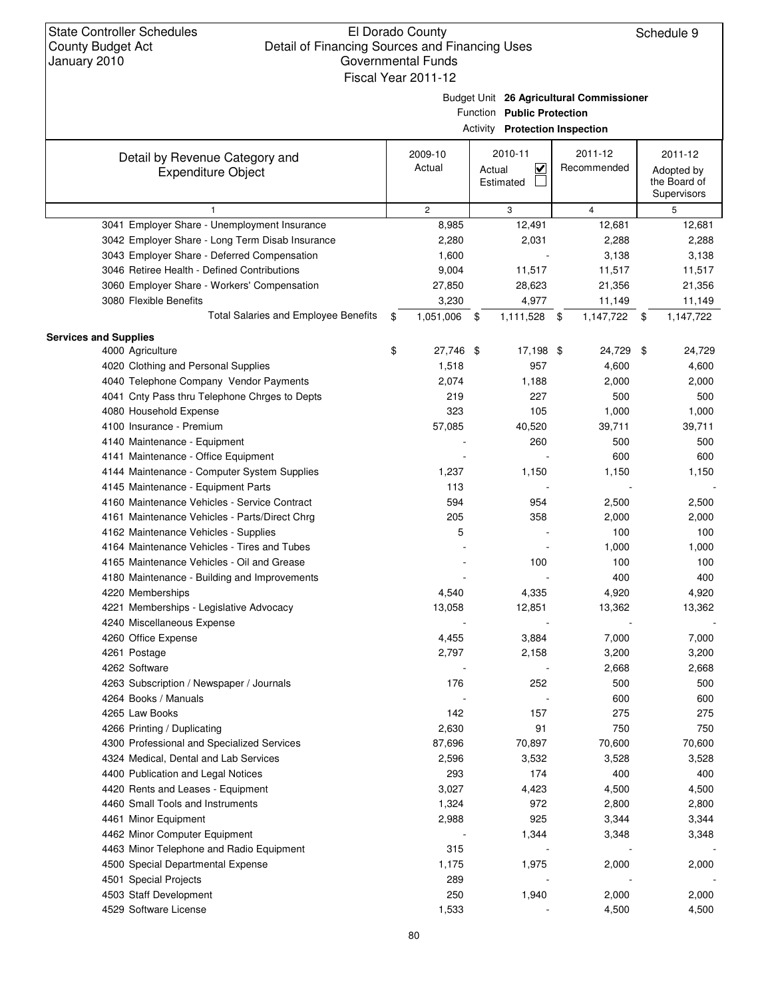Budget Unit **26 Agricultural Commissioner**

|         |         |   | <b>Activity Protection Inspection</b> |  |
|---------|---------|---|---------------------------------------|--|
| 2009-10 | 2010-11 |   | 2011-12                               |  |
| Actual  | Actual  | V | Recommended                           |  |

| Detail by Revenue Category and                  | 2009-10            | 2010-11     | 2011-12         | 2011-12         |
|-------------------------------------------------|--------------------|-------------|-----------------|-----------------|
| <b>Expenditure Object</b>                       | Actual             | V<br>Actual | Recommended     | Adopted by      |
|                                                 |                    | Estimated   |                 | the Board of    |
|                                                 |                    |             |                 | Supervisors     |
| $\mathbf{1}$                                    | $\mathbf{2}$       | 3           | $\overline{4}$  | 5               |
| 3041 Employer Share - Unemployment Insurance    | 8,985              | 12,491      | 12,681          | 12,681          |
| 3042 Employer Share - Long Term Disab Insurance | 2,280              | 2,031       | 2,288           | 2,288           |
| 3043 Employer Share - Deferred Compensation     | 1,600              |             | 3,138           | 3,138           |
| 3046 Retiree Health - Defined Contributions     | 9,004              | 11,517      | 11,517          | 11,517          |
| 3060 Employer Share - Workers' Compensation     | 27,850             | 28,623      | 21,356          | 21,356          |
| 3080 Flexible Benefits                          | 3,230              | 4,977       | 11,149          | 11,149          |
| <b>Total Salaries and Employee Benefits</b>     | \$<br>1,051,006 \$ | 1,111,528   | 1,147,722<br>\$ | \$<br>1,147,722 |
| <b>Services and Supplies</b>                    |                    |             |                 |                 |
| 4000 Agriculture                                | \$<br>27,746 \$    | 17,198 \$   | 24,729          | \$<br>24,729    |
| 4020 Clothing and Personal Supplies             | 1,518              | 957         | 4,600           | 4,600           |
| 4040 Telephone Company Vendor Payments          | 2,074              | 1,188       | 2,000           | 2,000           |
| 4041 Cnty Pass thru Telephone Chrges to Depts   | 219                | 227         | 500             | 500             |
| 4080 Household Expense                          | 323                | 105         | 1,000           | 1,000           |
| 4100 Insurance - Premium                        | 57,085             | 40,520      | 39,711          | 39,711          |
| 4140 Maintenance - Equipment                    |                    | 260         | 500             | 500             |
| 4141 Maintenance - Office Equipment             |                    |             | 600             | 600             |
| 4144 Maintenance - Computer System Supplies     | 1,237              | 1,150       | 1,150           | 1,150           |
| 4145 Maintenance - Equipment Parts              | 113                |             |                 |                 |
| 4160 Maintenance Vehicles - Service Contract    | 594                | 954         | 2,500           | 2,500           |
| 4161 Maintenance Vehicles - Parts/Direct Chrg   | 205                | 358         | 2,000           | 2,000           |
| 4162 Maintenance Vehicles - Supplies            | 5                  |             | 100             | 100             |
| 4164 Maintenance Vehicles - Tires and Tubes     |                    |             | 1,000           | 1,000           |
| 4165 Maintenance Vehicles - Oil and Grease      |                    | 100         | 100             | 100             |
| 4180 Maintenance - Building and Improvements    |                    |             | 400             | 400             |
| 4220 Memberships                                | 4,540              | 4,335       | 4,920           | 4,920           |
| 4221 Memberships - Legislative Advocacy         | 13,058             | 12,851      | 13,362          | 13,362          |
| 4240 Miscellaneous Expense                      |                    |             |                 |                 |
| 4260 Office Expense                             | 4,455              | 3,884       | 7,000           | 7,000           |
| 4261 Postage                                    | 2,797              | 2,158       | 3,200           | 3,200           |
| 4262 Software                                   |                    |             | 2,668           | 2,668           |
| 4263 Subscription / Newspaper / Journals        | 176                | 252         | 500             | 500             |
| 4264 Books / Manuals                            |                    |             | 600             | 600             |
| 4265 Law Books                                  | 142                | 157         | 275             | 275             |
| 4266 Printing / Duplicating                     | 2,630              | 91          | 750             | 750             |
| 4300 Professional and Specialized Services      | 87,696             | 70,897      | 70,600          | 70,600          |
| 4324 Medical, Dental and Lab Services           | 2,596              | 3,532       | 3,528           | 3,528           |
| 4400 Publication and Legal Notices              | 293                | 174         | 400             | 400             |
| 4420 Rents and Leases - Equipment               | 3,027              | 4,423       | 4,500           | 4,500           |
| 4460 Small Tools and Instruments                | 1,324              | 972         | 2,800           | 2,800           |
| 4461 Minor Equipment                            | 2,988              | 925         | 3,344           | 3,344           |
| 4462 Minor Computer Equipment                   |                    | 1,344       | 3,348           | 3,348           |
| 4463 Minor Telephone and Radio Equipment        | 315                |             |                 |                 |
| 4500 Special Departmental Expense               | 1,175              | 1,975       | 2,000           | 2,000           |
| 4501 Special Projects                           | 289                |             |                 |                 |
| 4503 Staff Development                          | 250                | 1,940       | 2,000           | 2,000           |
| 4529 Software License                           |                    |             |                 |                 |
|                                                 | 1,533              |             | 4,500           | 4,500           |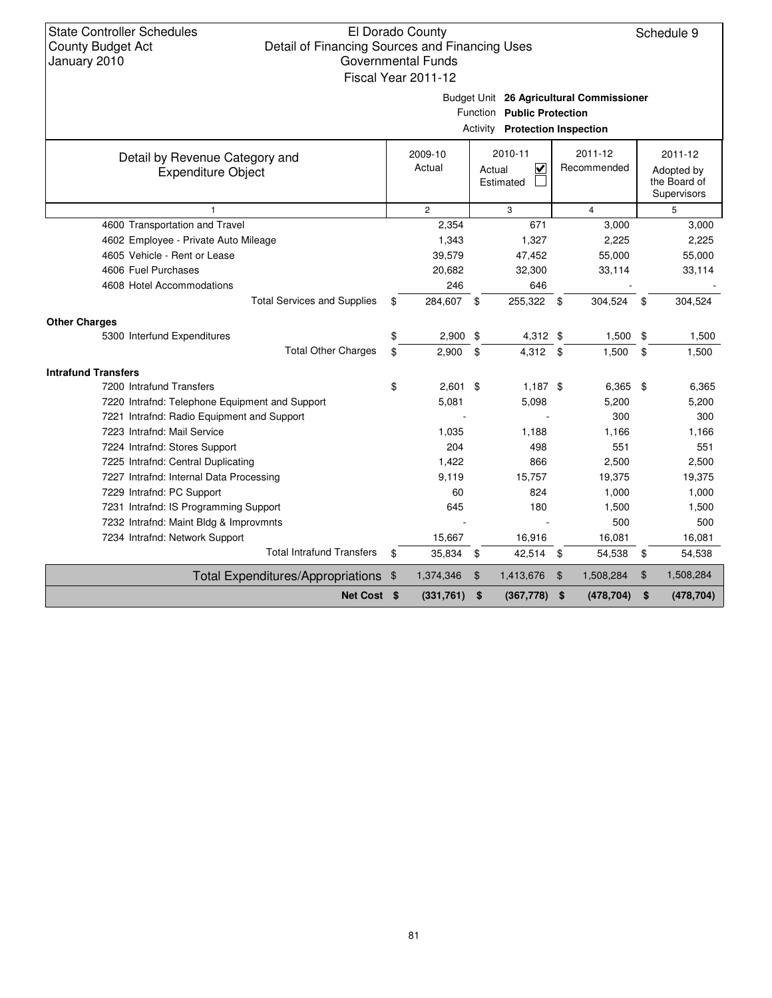Budget Unit **26 Agricultural Commissioner**

|  | Activity <b>Protection Inspection</b> |  |
|--|---------------------------------------|--|
|--|---------------------------------------|--|

| Detail by Revenue Category and                 | 2009-10          |      | 2010-11                  |       | 2011-12        | 2011-12                    |
|------------------------------------------------|------------------|------|--------------------------|-------|----------------|----------------------------|
| <b>Expenditure Object</b>                      | Actual           |      | V<br>Actual<br>Estimated |       | Recommended    | Adopted by<br>the Board of |
|                                                |                  |      |                          |       |                | Supervisors                |
|                                                | $\overline{2}$   |      | 3                        |       | $\overline{4}$ | 5                          |
| 4600 Transportation and Travel                 | 2,354            |      | 671                      |       | 3,000          | 3,000                      |
| 4602 Employee - Private Auto Mileage           | 1,343            |      | 1,327                    |       | 2,225          | 2,225                      |
| 4605 Vehicle - Rent or Lease                   | 39,579           |      | 47,452                   |       | 55,000         | 55,000                     |
| 4606 Fuel Purchases                            | 20,682           |      | 32,300                   |       | 33,114         | 33,114                     |
| 4608 Hotel Accommodations                      | 246              |      | 646                      |       |                |                            |
| <b>Total Services and Supplies</b>             | \$<br>284,607    | - \$ | 255,322                  | \$    | 304,524        | \$<br>304,524              |
| <b>Other Charges</b>                           |                  |      |                          |       |                |                            |
| 5300 Interfund Expenditures                    | \$<br>$2,900$ \$ |      | 4,312 \$                 |       | 1,500          | \$<br>1,500                |
| <b>Total Other Charges</b>                     | \$<br>2,900      | \$   | 4,312 \$                 |       | 1,500          | \$<br>1,500                |
| <b>Intrafund Transfers</b>                     |                  |      |                          |       |                |                            |
| 7200 Intrafund Transfers                       | \$<br>$2,601$ \$ |      | $1,187$ \$               |       | 6,365          | \$<br>6,365                |
| 7220 Intrafnd: Telephone Equipment and Support | 5,081            |      | 5,098                    |       | 5,200          | 5,200                      |
| 7221 Intrafnd: Radio Equipment and Support     |                  |      |                          |       | 300            | 300                        |
| 7223 Intrafnd: Mail Service                    | 1,035            |      | 1,188                    |       | 1,166          | 1,166                      |
| 7224 Intrafnd: Stores Support                  | 204              |      | 498                      |       | 551            | 551                        |
| 7225 Intrafnd: Central Duplicating             | 1,422            |      | 866                      |       | 2,500          | 2,500                      |
| 7227 Intrafnd: Internal Data Processing        | 9,119            |      | 15,757                   |       | 19,375         | 19,375                     |
| 7229 Intrafnd: PC Support                      | 60               |      | 824                      |       | 1,000          | 1,000                      |
| 7231 Intrafnd: IS Programming Support          | 645              |      | 180                      |       | 1,500          | 1,500                      |
| 7232 Intrafnd: Maint Bldg & Improvmnts         |                  |      |                          |       | 500            | 500                        |
| 7234 Intrafnd: Network Support                 | 15,667           |      | 16,916                   |       | 16,081         | 16,081                     |
| <b>Total Intrafund Transfers</b>               | \$<br>35,834     | \$   | 42,514                   | \$    | 54,538         | \$<br>54,538               |
| Total Expenditures/Appropriations \$           | 1,374,346        | \$   | 1,413,676                | $\$\$ | 1,508,284      | \$<br>1,508,284            |
| Net Cost \$                                    | (331,761)        | \$   | (367, 778)               | \$    | (478, 704)     | \$<br>(478, 704)           |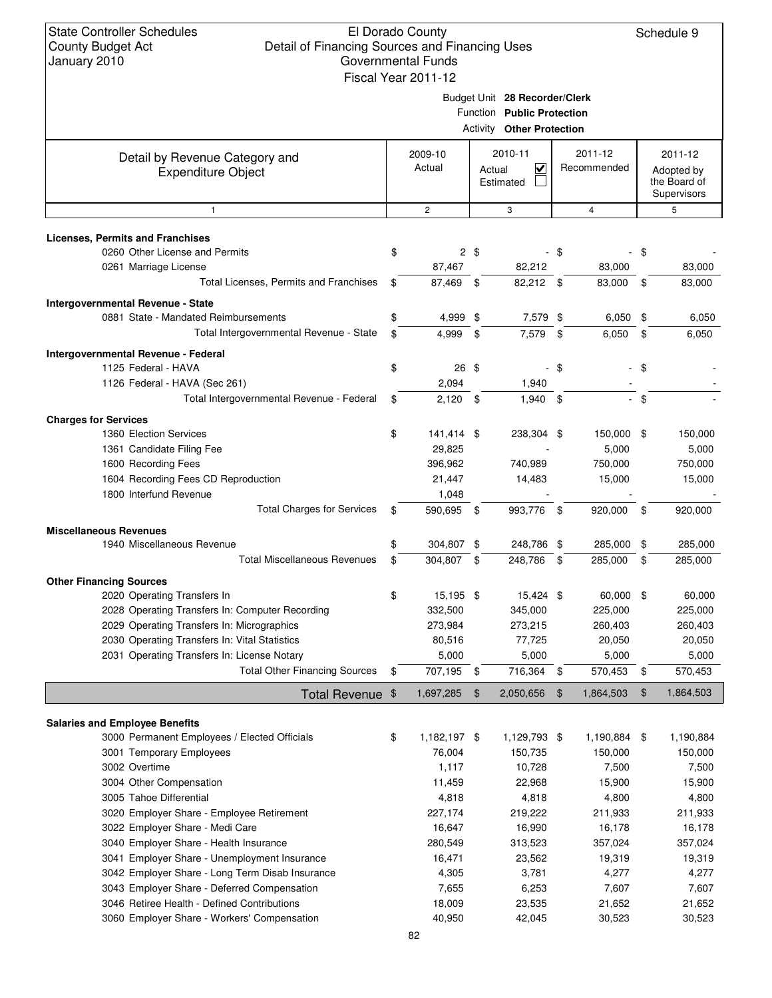## El Dorado County Detail of Financing Sources and Financing Uses Governmental Funds

|                                                                           | Fiscal Year 2011-12                                         |                |                                                |      |                        |        |                                                      |  |
|---------------------------------------------------------------------------|-------------------------------------------------------------|----------------|------------------------------------------------|------|------------------------|--------|------------------------------------------------------|--|
|                                                                           | Budget Unit 28 Recorder/Clerk<br>Function Public Protection |                |                                                |      |                        |        |                                                      |  |
|                                                                           |                                                             |                | <b>Activity Other Protection</b>               |      |                        |        |                                                      |  |
| Detail by Revenue Category and<br><b>Expenditure Object</b>               | 2009-10<br>Actual                                           |                | 2010-11<br>$\checkmark$<br>Actual<br>Estimated |      | 2011-12<br>Recommended |        | 2011-12<br>Adopted by<br>the Board of<br>Supervisors |  |
| $\mathbf{1}$                                                              | $\overline{c}$                                              |                | 3                                              |      | $\overline{4}$         |        | 5                                                    |  |
| <b>Licenses, Permits and Franchises</b>                                   |                                                             |                |                                                |      |                        |        |                                                      |  |
| 0260 Other License and Permits                                            | \$                                                          | $2 \text{ } $$ |                                                | - \$ |                        | \$     |                                                      |  |
| 0261 Marriage License                                                     | 87,467                                                      |                | 82,212                                         |      | 83,000                 |        | 83,000                                               |  |
| Total Licenses, Permits and Franchises                                    | \$<br>87,469 \$                                             |                | 82,212 \$                                      |      | 83,000                 | \$     | 83,000                                               |  |
|                                                                           |                                                             |                |                                                |      |                        |        |                                                      |  |
| Intergovernmental Revenue - State<br>0881 State - Mandated Reimbursements | \$<br>4,999                                                 | \$             | 7,579 \$                                       |      | $6,050$ \$             |        | 6,050                                                |  |
| Total Intergovernmental Revenue - State                                   | \$<br>4,999                                                 | \$             | 7,579                                          | - \$ | 6,050                  | \$     | 6,050                                                |  |
|                                                                           |                                                             |                |                                                |      |                        |        |                                                      |  |
| Intergovernmental Revenue - Federal                                       |                                                             |                |                                                |      |                        |        |                                                      |  |
| 1125 Federal - HAVA                                                       | \$<br>26 \$                                                 |                |                                                | - \$ |                        | - \$   |                                                      |  |
| 1126 Federal - HAVA (Sec 261)                                             | 2,094                                                       |                | 1,940                                          |      |                        |        |                                                      |  |
| Total Intergovernmental Revenue - Federal                                 | \$<br>2,120                                                 | \$             | $1,940$ \$                                     |      |                        | $-$ \$ |                                                      |  |
| <b>Charges for Services</b>                                               |                                                             |                |                                                |      |                        |        |                                                      |  |
| 1360 Election Services                                                    | \$<br>141,414 \$                                            |                | 238,304 \$                                     |      | 150,000 \$             |        | 150,000                                              |  |
| 1361 Candidate Filing Fee                                                 | 29,825                                                      |                |                                                |      | 5,000                  |        | 5,000                                                |  |
| 1600 Recording Fees                                                       | 396,962                                                     |                | 740,989                                        |      | 750,000                |        | 750,000                                              |  |
| 1604 Recording Fees CD Reproduction                                       | 21,447                                                      |                | 14,483                                         |      | 15,000                 |        | 15,000                                               |  |
| 1800 Interfund Revenue                                                    | 1,048                                                       |                |                                                |      |                        |        |                                                      |  |
| <b>Total Charges for Services</b>                                         | \$<br>590,695 \$                                            |                | 993,776 \$                                     |      | 920,000 \$             |        | 920,000                                              |  |
| <b>Miscellaneous Revenues</b>                                             |                                                             |                |                                                |      |                        |        |                                                      |  |
| 1940 Miscellaneous Revenue                                                | \$<br>304,807 \$                                            |                | 248,786 \$                                     |      | 285,000                | -\$    | 285,000                                              |  |
| <b>Total Miscellaneous Revenues</b>                                       | \$<br>304,807                                               | - \$           | 248,786                                        | - \$ | 285.000                | \$     | 285,000                                              |  |
|                                                                           |                                                             |                |                                                |      |                        |        |                                                      |  |
| <b>Other Financing Sources</b>                                            |                                                             |                |                                                |      |                        |        |                                                      |  |
| 2020 Operating Transfers In                                               | \$<br>15,195 \$                                             |                | 15,424 \$                                      |      | 60,000                 | -\$    | 60,000                                               |  |
| 2028 Operating Transfers In: Computer Recording                           | 332,500                                                     |                | 345,000                                        |      | 225,000                |        | 225,000                                              |  |
| 2029 Operating Transfers In: Micrographics                                | 273,984                                                     |                | 273.215                                        |      | 260,403                |        | 260,403                                              |  |
| 2030 Operating Transfers In: Vital Statistics                             | 80,516                                                      |                | 77,725                                         |      | 20,050                 |        | 20,050                                               |  |
| 2031 Operating Transfers In: License Notary                               | 5,000                                                       |                | 5,000                                          |      | 5,000                  |        | 5,000                                                |  |
| <b>Total Other Financing Sources</b>                                      | \$<br>707,195                                               | \$             | 716,364 \$                                     |      | 570,453                | \$     | 570,453                                              |  |
| Total Revenue \$                                                          | 1,697,285                                                   | \$             | 2,050,656                                      | \$   | 1,864,503              | \$     | 1,864,503                                            |  |
| <b>Salaries and Employee Benefits</b>                                     |                                                             |                |                                                |      |                        |        |                                                      |  |
| 3000 Permanent Employees / Elected Officials                              | \$<br>1,182,197 \$                                          |                | 1,129,793 \$                                   |      | 1,190,884 \$           |        | 1,190,884                                            |  |
| 3001 Temporary Employees                                                  | 76,004                                                      |                | 150,735                                        |      | 150,000                |        | 150,000                                              |  |
| 3002 Overtime                                                             | 1,117                                                       |                | 10,728                                         |      | 7,500                  |        | 7,500                                                |  |
| 3004 Other Compensation                                                   | 11,459                                                      |                | 22,968                                         |      | 15,900                 |        | 15,900                                               |  |
| 3005 Tahoe Differential                                                   | 4,818                                                       |                | 4,818                                          |      | 4,800                  |        | 4,800                                                |  |
| 3020 Employer Share - Employee Retirement                                 | 227,174                                                     |                | 219,222                                        |      | 211,933                |        | 211,933                                              |  |
| 3022 Employer Share - Medi Care                                           | 16,647                                                      |                | 16,990                                         |      | 16,178                 |        | 16,178                                               |  |
| 3040 Employer Share - Health Insurance                                    | 280,549                                                     |                | 313,523                                        |      | 357,024                |        | 357,024                                              |  |
| 3041 Employer Share - Unemployment Insurance                              | 16,471                                                      |                | 23,562                                         |      | 19,319                 |        | 19,319                                               |  |
| 3042 Employer Share - Long Term Disab Insurance                           | 4,305                                                       |                | 3,781                                          |      | 4,277                  |        | 4,277                                                |  |
|                                                                           |                                                             |                |                                                |      |                        |        |                                                      |  |
| 3043 Employer Share - Deferred Compensation                               | 7,655                                                       |                | 6,253                                          |      | 7,607                  |        | 7,607                                                |  |
| 3046 Retiree Health - Defined Contributions                               | 18,009                                                      |                | 23,535                                         |      | 21,652                 |        | 21,652                                               |  |
| 3060 Employer Share - Workers' Compensation                               | 40,950                                                      |                | 42,045                                         |      | 30,523                 |        | 30,523                                               |  |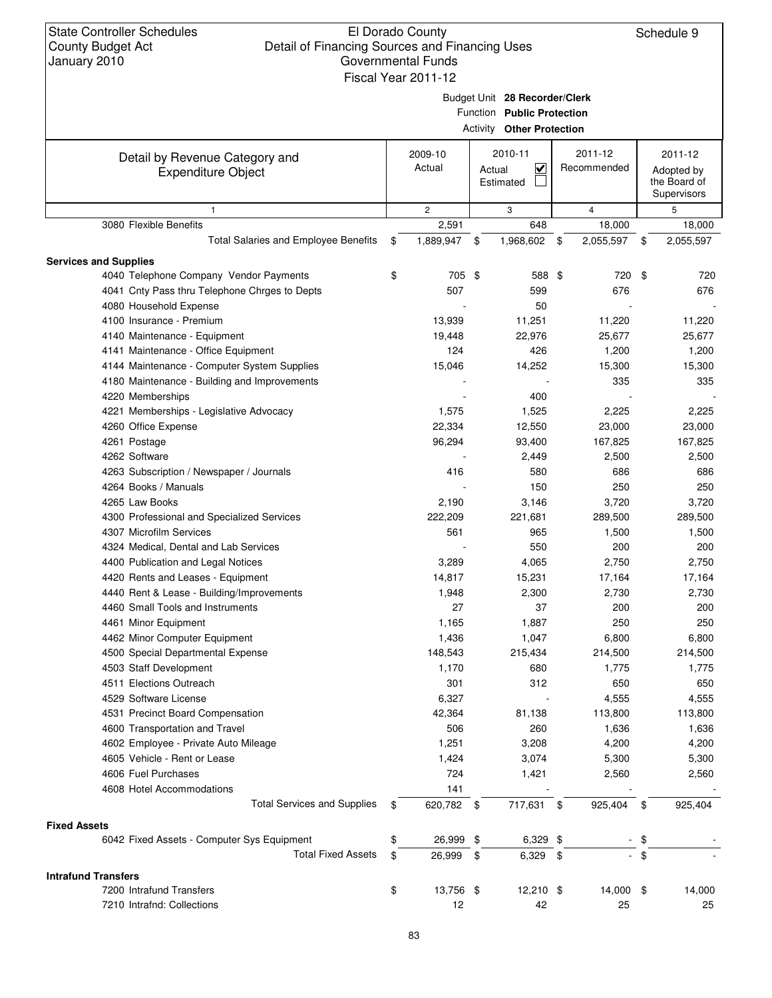### El Dorado County Detail of Financing Sources and Financing Uses Governmental Fu Fiscal Year 2011-12

Schedule 9

| unds |  |  |  |
|------|--|--|--|
| 1.10 |  |  |  |

Budget Unit **28 Recorder/Clerk**

|                                                             |                   | Function Public Protection                 |                        |                                                      |
|-------------------------------------------------------------|-------------------|--------------------------------------------|------------------------|------------------------------------------------------|
|                                                             |                   | <b>Activity Other Protection</b>           |                        |                                                      |
| Detail by Revenue Category and<br><b>Expenditure Object</b> | 2009-10<br>Actual | 2010-11<br><u>V</u><br>Actual<br>Estimated | 2011-12<br>Recommended | 2011-12<br>Adopted by<br>the Board of<br>Supervisors |
| $\mathbf{1}$                                                | $\mathbf{2}$      | 3                                          | $\overline{4}$         | 5                                                    |
| 3080 Flexible Benefits                                      | 2,591             | 648                                        | 18,000                 | 18,000                                               |
| <b>Total Salaries and Employee Benefits</b>                 | \$<br>1,889,947   | \$<br>1,968,602                            | \$<br>2,055,597        | \$<br>2,055,597                                      |
| <b>Services and Supplies</b>                                |                   |                                            |                        |                                                      |
| 4040 Telephone Company Vendor Payments                      | \$<br>705 \$      | 588 \$                                     | 720                    | \$<br>720                                            |
| 4041 Cnty Pass thru Telephone Chrges to Depts               | 507               | 599                                        | 676                    | 676                                                  |
| 4080 Household Expense                                      |                   | 50                                         |                        |                                                      |
| 4100 Insurance - Premium                                    | 13,939            | 11,251                                     | 11,220                 | 11,220                                               |
| 4140 Maintenance - Equipment                                | 19,448            | 22,976                                     | 25,677                 | 25,677                                               |
| 4141 Maintenance - Office Equipment                         | 124               | 426                                        | 1,200                  | 1,200                                                |
| 4144 Maintenance - Computer System Supplies                 | 15,046            | 14,252                                     | 15,300                 | 15,300                                               |
| 4180 Maintenance - Building and Improvements                |                   |                                            | 335                    | 335                                                  |
| 4220 Memberships                                            |                   | 400                                        |                        |                                                      |
| 4221 Memberships - Legislative Advocacy                     | 1,575             | 1,525                                      | 2,225                  | 2,225                                                |
| 4260 Office Expense                                         | 22,334            | 12,550                                     | 23,000                 | 23,000                                               |
| 4261 Postage                                                | 96,294            | 93,400                                     | 167,825                | 167,825                                              |
| 4262 Software                                               |                   | 2,449                                      | 2,500                  | 2,500                                                |
| 4263 Subscription / Newspaper / Journals                    | 416               | 580                                        | 686                    | 686                                                  |
| 4264 Books / Manuals                                        |                   | 150                                        | 250                    | 250                                                  |
| 4265 Law Books                                              | 2,190             | 3,146                                      | 3,720                  | 3,720                                                |
| 4300 Professional and Specialized Services                  | 222,209           | 221,681                                    | 289,500                | 289,500                                              |
| 4307 Microfilm Services                                     | 561               | 965                                        | 1,500                  | 1,500                                                |
| 4324 Medical, Dental and Lab Services                       |                   | 550                                        | 200                    | 200                                                  |
| 4400 Publication and Legal Notices                          | 3,289             | 4,065                                      | 2,750                  | 2,750                                                |
| 4420 Rents and Leases - Equipment                           | 14,817            | 15,231                                     | 17,164                 | 17,164                                               |
| 4440 Rent & Lease - Building/Improvements                   | 1,948             | 2,300                                      | 2,730                  | 2,730                                                |
| 4460 Small Tools and Instruments                            | 27                | 37                                         | 200                    | 200                                                  |
| 4461 Minor Equipment                                        | 1,165             | 1,887                                      | 250                    | 250                                                  |
| 4462 Minor Computer Equipment                               | 1,436             | 1,047                                      | 6,800                  | 6,800                                                |
| 4500 Special Departmental Expense                           | 148,543           | 215,434                                    | 214,500                | 214,500                                              |
| 4503 Staff Development                                      | 1,170             | 680                                        | 1,775                  | 1,775                                                |
| 4511 Elections Outreach                                     | 301               | 312                                        | 650                    | 650                                                  |
| 4529 Software License                                       | 6,327             |                                            | 4,555                  | 4,555                                                |
| 4531 Precinct Board Compensation                            | 42,364            | 81,138                                     | 113,800                | 113,800                                              |
| 4600 Transportation and Travel                              | 506               | 260                                        | 1,636                  | 1,636                                                |
| 4602 Employee - Private Auto Mileage                        | 1,251             | 3,208                                      | 4,200                  | 4,200                                                |
| 4605 Vehicle - Rent or Lease                                | 1,424             | 3,074                                      | 5,300                  | 5,300                                                |
| 4606 Fuel Purchases                                         | 724               | 1,421                                      | 2,560                  | 2,560                                                |
| 4608 Hotel Accommodations                                   | 141               |                                            |                        |                                                      |
| <b>Total Services and Supplies</b>                          | \$<br>620,782 \$  | 717,631                                    | \$<br>925,404          | \$<br>925,404                                        |
| <b>Fixed Assets</b>                                         |                   |                                            |                        |                                                      |
| 6042 Fixed Assets - Computer Sys Equipment                  | \$<br>26,999 \$   | $6,329$ \$                                 |                        | \$                                                   |
| <b>Total Fixed Assets</b>                                   | \$<br>26,999      | \$<br>$6,329$ \$                           |                        | \$                                                   |
| <b>Intrafund Transfers</b>                                  |                   |                                            |                        |                                                      |
| 7200 Intrafund Transfers                                    | \$<br>13,756 \$   | $12,210$ \$                                | 14,000 \$              | 14,000                                               |